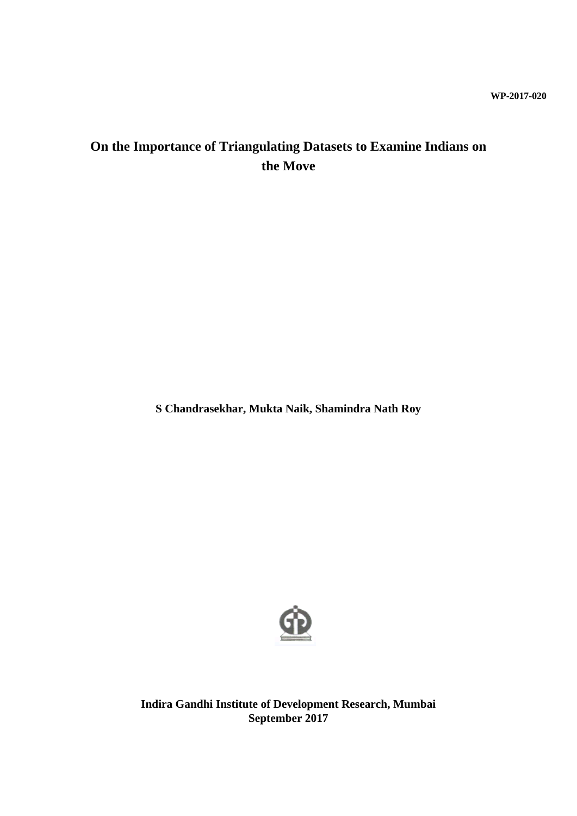# **On the Importance of Triangulating Datasets to Examine Indians on the Move**

**S Chandrasekhar, Mukta Naik, Shamindra Nath Roy**



**Indira Gandhi Institute of Development Research, Mumbai September 2017**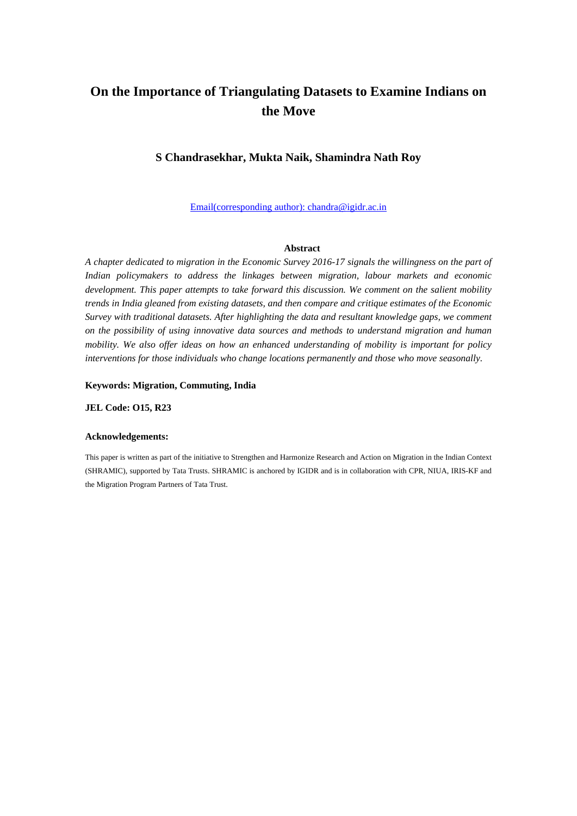# **On the Importance of Triangulating Datasets to Examine Indians on the Move**

#### **S Chandrasekhar, Mukta Naik, Shamindra Nath Roy**

Email(corresponding author): chandra@igidr.ac.in

#### **Abstract**

*A chapter dedicated to migration in the Economic Survey 2016-17 signals the willingness on the part of Indian policymakers to address the linkages between migration, labour markets and economic development. This paper attempts to take forward this discussion. We comment on the salient mobility trends in India gleaned from existing datasets, and then compare and critique estimates of the Economic Survey with traditional datasets. After highlighting the data and resultant knowledge gaps, we comment on the possibility of using innovative data sources and methods to understand migration and human mobility. We also offer ideas on how an enhanced understanding of mobility is important for policy interventions for those individuals who change locations permanently and those who move seasonally.*

#### **Keywords: Migration, Commuting, India**

**JEL Code: O15, R23**

#### **Acknowledgements:**

This paper is written as part of the initiative to Strengthen and Harmonize Research and Action on Migration in the Indian Context (SHRAMIC), supported by Tata Trusts. SHRAMIC is anchored by IGIDR and is in collaboration with CPR, NIUA, IRIS-KF and the Migration Program Partners of Tata Trust.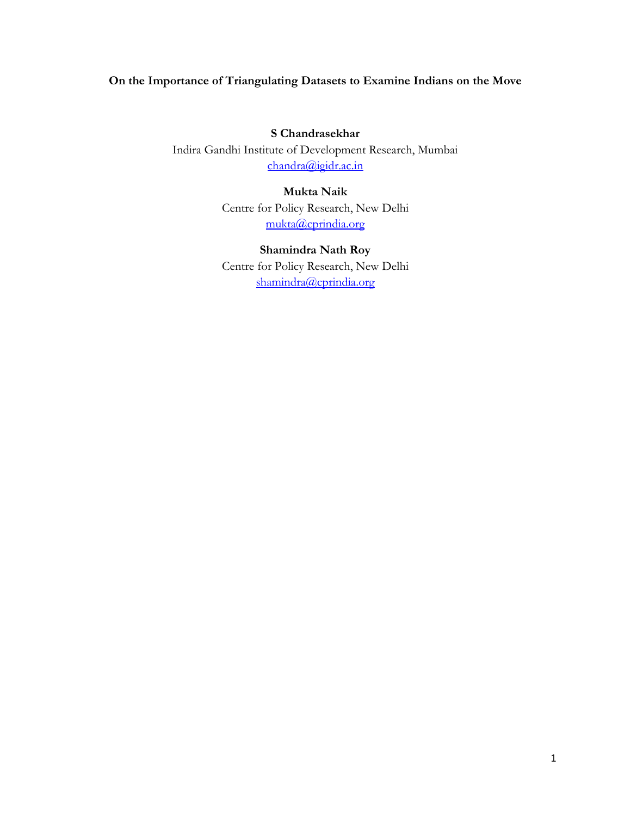### **On the Importance of Triangulating Datasets to Examine Indians on the Move**

**S Chandrasekhar** Indira Gandhi Institute of Development Research, Mumbai [chandra@igidr.ac.in](mailto:chandra@igidr.ac.in)

### **Mukta Naik** Centre for Policy Research, New Delhi [mukta@cprindia.org](mailto:mukta@cprindia.org)

### **Shamindra Nath Roy**

Centre for Policy Research, New Delhi [shamindra@cprindia.org](mailto:shamindra@cprindia.org)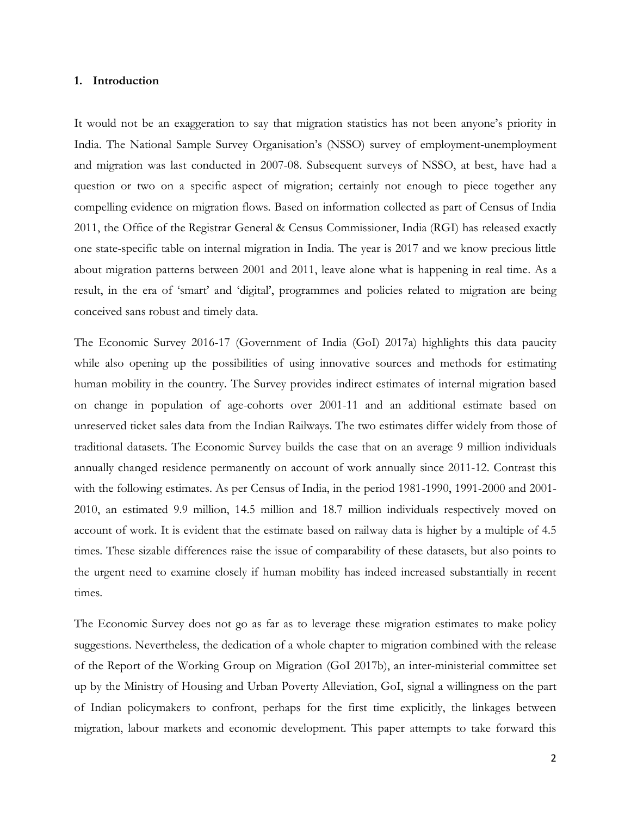#### **1. Introduction**

It would not be an exaggeration to say that migration statistics has not been anyone's priority in India. The National Sample Survey Organisation's (NSSO) survey of employment-unemployment and migration was last conducted in 2007-08. Subsequent surveys of NSSO, at best, have had a question or two on a specific aspect of migration; certainly not enough to piece together any compelling evidence on migration flows. Based on information collected as part of Census of India 2011, the Office of the Registrar General & Census Commissioner, India (RGI) has released exactly one state-specific table on internal migration in India. The year is 2017 and we know precious little about migration patterns between 2001 and 2011, leave alone what is happening in real time. As a result, in the era of 'smart' and 'digital', programmes and policies related to migration are being conceived sans robust and timely data.

The Economic Survey 2016-17 (Government of India (GoI) 2017a) highlights this data paucity while also opening up the possibilities of using innovative sources and methods for estimating human mobility in the country. The Survey provides indirect estimates of internal migration based on change in population of age-cohorts over 2001-11 and an additional estimate based on unreserved ticket sales data from the Indian Railways. The two estimates differ widely from those of traditional datasets. The Economic Survey builds the case that on an average 9 million individuals annually changed residence permanently on account of work annually since 2011-12. Contrast this with the following estimates. As per Census of India, in the period 1981-1990, 1991-2000 and 2001- 2010, an estimated 9.9 million, 14.5 million and 18.7 million individuals respectively moved on account of work. It is evident that the estimate based on railway data is higher by a multiple of 4.5 times. These sizable differences raise the issue of comparability of these datasets, but also points to the urgent need to examine closely if human mobility has indeed increased substantially in recent times.

The Economic Survey does not go as far as to leverage these migration estimates to make policy suggestions. Nevertheless, the dedication of a whole chapter to migration combined with the release of the Report of the Working Group on Migration (GoI 2017b), an inter-ministerial committee set up by the Ministry of Housing and Urban Poverty Alleviation, GoI, signal a willingness on the part of Indian policymakers to confront, perhaps for the first time explicitly, the linkages between migration, labour markets and economic development. This paper attempts to take forward this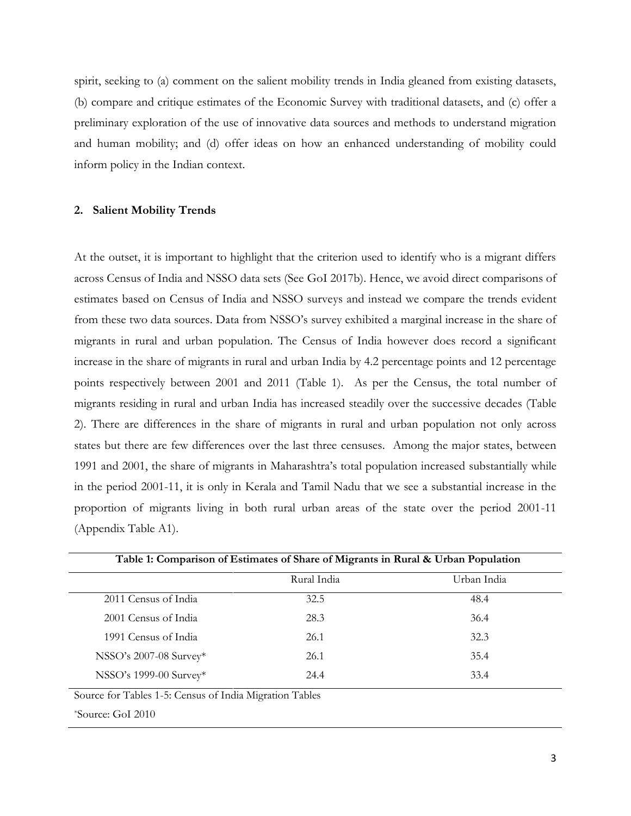spirit, seeking to (a) comment on the salient mobility trends in India gleaned from existing datasets, (b) compare and critique estimates of the Economic Survey with traditional datasets, and (c) offer a preliminary exploration of the use of innovative data sources and methods to understand migration and human mobility; and (d) offer ideas on how an enhanced understanding of mobility could inform policy in the Indian context.

#### **2. Salient Mobility Trends**

At the outset, it is important to highlight that the criterion used to identify who is a migrant differs across Census of India and NSSO data sets (See GoI 2017b). Hence, we avoid direct comparisons of estimates based on Census of India and NSSO surveys and instead we compare the trends evident from these two data sources. Data from NSSO's survey exhibited a marginal increase in the share of migrants in rural and urban population. The Census of India however does record a significant increase in the share of migrants in rural and urban India by 4.2 percentage points and 12 percentage points respectively between 2001 and 2011 (Table 1). As per the Census, the total number of migrants residing in rural and urban India has increased steadily over the successive decades (Table 2). There are differences in the share of migrants in rural and urban population not only across states but there are few differences over the last three censuses. Among the major states, between 1991 and 2001, the share of migrants in Maharashtra's total population increased substantially while in the period 2001-11, it is only in Kerala and Tamil Nadu that we see a substantial increase in the proportion of migrants living in both rural urban areas of the state over the period 2001-11 (Appendix Table A1).

| Table 1: Comparison of Estimates of Share of Migrants in Rural & Urban Population |             |             |  |  |  |  |  |  |  |  |
|-----------------------------------------------------------------------------------|-------------|-------------|--|--|--|--|--|--|--|--|
|                                                                                   | Rural India | Urban India |  |  |  |  |  |  |  |  |
| 2011 Census of India                                                              | 32.5        | 48.4        |  |  |  |  |  |  |  |  |
| 2001 Census of India                                                              | 28.3        | 36.4        |  |  |  |  |  |  |  |  |
| 1991 Census of India                                                              | 26.1        | 32.3        |  |  |  |  |  |  |  |  |
| NSSO's 2007-08 Survey*                                                            | 26.1        | 35.4        |  |  |  |  |  |  |  |  |
| NSSO's 1999-00 Survey*                                                            | 24.4        | 33.4        |  |  |  |  |  |  |  |  |
| Source for Tables 1-5: Census of India Migration Tables                           |             |             |  |  |  |  |  |  |  |  |
| *Source: GoI 2010                                                                 |             |             |  |  |  |  |  |  |  |  |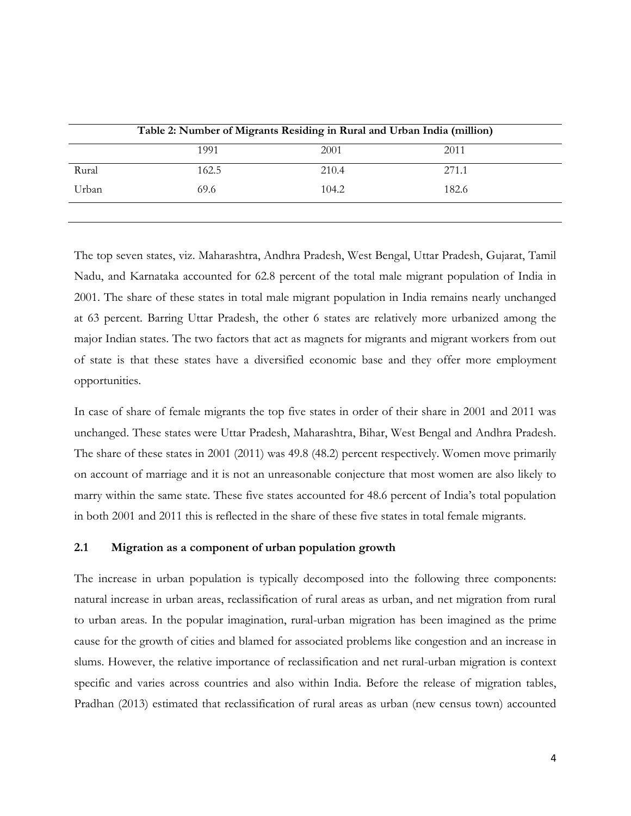|       | Table 2: Number of Migrants Residing in Rural and Urban India (million) |       |       |  |
|-------|-------------------------------------------------------------------------|-------|-------|--|
|       | 1991                                                                    | 2001  | 2011  |  |
| Rural | 162.5                                                                   | 210.4 | 271.1 |  |
| Urban | 69.6                                                                    | 104.2 | 182.6 |  |
|       |                                                                         |       |       |  |

The top seven states, viz. Maharashtra, Andhra Pradesh, West Bengal, Uttar Pradesh, Gujarat, Tamil Nadu, and Karnataka accounted for 62.8 percent of the total male migrant population of India in 2001. The share of these states in total male migrant population in India remains nearly unchanged at 63 percent. Barring Uttar Pradesh, the other 6 states are relatively more urbanized among the major Indian states. The two factors that act as magnets for migrants and migrant workers from out of state is that these states have a diversified economic base and they offer more employment opportunities.

In case of share of female migrants the top five states in order of their share in 2001 and 2011 was unchanged. These states were Uttar Pradesh, Maharashtra, Bihar, West Bengal and Andhra Pradesh. The share of these states in 2001 (2011) was 49.8 (48.2) percent respectively. Women move primarily on account of marriage and it is not an unreasonable conjecture that most women are also likely to marry within the same state. These five states accounted for 48.6 percent of India's total population in both 2001 and 2011 this is reflected in the share of these five states in total female migrants.

#### **2.1 Migration as a component of urban population growth**

The increase in urban population is typically decomposed into the following three components: natural increase in urban areas, reclassification of rural areas as urban, and net migration from rural to urban areas. In the popular imagination, rural-urban migration has been imagined as the prime cause for the growth of cities and blamed for associated problems like congestion and an increase in slums. However, the relative importance of reclassification and net rural-urban migration is context specific and varies across countries and also within India. Before the release of migration tables, Pradhan (2013) estimated that reclassification of rural areas as urban (new census town) accounted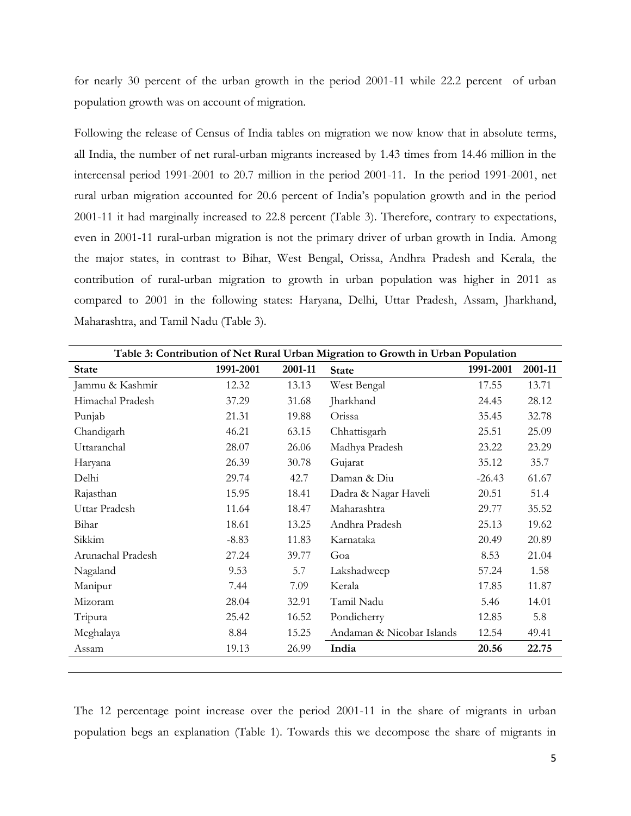for nearly 30 percent of the urban growth in the period 2001-11 while 22.2 percent of urban population growth was on account of migration.

Following the release of Census of India tables on migration we now know that in absolute terms, all India, the number of net rural-urban migrants increased by 1.43 times from 14.46 million in the intercensal period 1991-2001 to 20.7 million in the period 2001-11. In the period 1991-2001, net rural urban migration accounted for 20.6 percent of India's population growth and in the period 2001-11 it had marginally increased to 22.8 percent (Table 3). Therefore, contrary to expectations, even in 2001-11 rural-urban migration is not the primary driver of urban growth in India. Among the major states, in contrast to Bihar, West Bengal, Orissa, Andhra Pradesh and Kerala, the contribution of rural-urban migration to growth in urban population was higher in 2011 as compared to 2001 in the following states: Haryana, Delhi, Uttar Pradesh, Assam, Jharkhand, Maharashtra, and Tamil Nadu (Table 3).

| Table 3: Contribution of Net Rural Urban Migration to Growth in Urban Population |           |         |                           |           |         |  |  |  |  |  |  |
|----------------------------------------------------------------------------------|-----------|---------|---------------------------|-----------|---------|--|--|--|--|--|--|
| <b>State</b>                                                                     | 1991-2001 | 2001-11 | <b>State</b>              | 1991-2001 | 2001-11 |  |  |  |  |  |  |
| Jammu & Kashmir                                                                  | 12.32     | 13.13   | West Bengal               | 17.55     | 13.71   |  |  |  |  |  |  |
| Himachal Pradesh                                                                 | 37.29     | 31.68   | Jharkhand                 | 24.45     | 28.12   |  |  |  |  |  |  |
| Punjab                                                                           | 21.31     | 19.88   | Orissa                    | 35.45     | 32.78   |  |  |  |  |  |  |
| Chandigarh                                                                       | 46.21     | 63.15   | Chhattisgarh              | 25.51     | 25.09   |  |  |  |  |  |  |
| Uttaranchal                                                                      | 28.07     | 26.06   | Madhya Pradesh            | 23.22     | 23.29   |  |  |  |  |  |  |
| Haryana                                                                          | 26.39     | 30.78   | Gujarat                   | 35.12     | 35.7    |  |  |  |  |  |  |
| Delhi                                                                            | 29.74     | 42.7    | Daman & Diu               | $-26.43$  | 61.67   |  |  |  |  |  |  |
| Rajasthan                                                                        | 15.95     | 18.41   | Dadra & Nagar Haveli      | 20.51     | 51.4    |  |  |  |  |  |  |
| Uttar Pradesh                                                                    | 11.64     | 18.47   | Maharashtra               | 29.77     | 35.52   |  |  |  |  |  |  |
| Bihar                                                                            | 18.61     | 13.25   | Andhra Pradesh            | 25.13     | 19.62   |  |  |  |  |  |  |
| Sikkim                                                                           | $-8.83$   | 11.83   | Karnataka                 | 20.49     | 20.89   |  |  |  |  |  |  |
| Arunachal Pradesh                                                                | 27.24     | 39.77   | Goa                       | 8.53      | 21.04   |  |  |  |  |  |  |
| Nagaland                                                                         | 9.53      | 5.7     | Lakshadweep               | 57.24     | 1.58    |  |  |  |  |  |  |
| Manipur                                                                          | 7.44      | 7.09    | Kerala                    | 17.85     | 11.87   |  |  |  |  |  |  |
| Mizoram                                                                          | 28.04     | 32.91   | Tamil Nadu                | 5.46      | 14.01   |  |  |  |  |  |  |
| Tripura                                                                          | 25.42     | 16.52   | Pondicherry               | 12.85     | 5.8     |  |  |  |  |  |  |
| Meghalaya                                                                        | 8.84      | 15.25   | Andaman & Nicobar Islands | 12.54     | 49.41   |  |  |  |  |  |  |
| Assam                                                                            | 19.13     | 26.99   | India                     | 20.56     | 22.75   |  |  |  |  |  |  |

The 12 percentage point increase over the period 2001-11 in the share of migrants in urban population begs an explanation (Table 1). Towards this we decompose the share of migrants in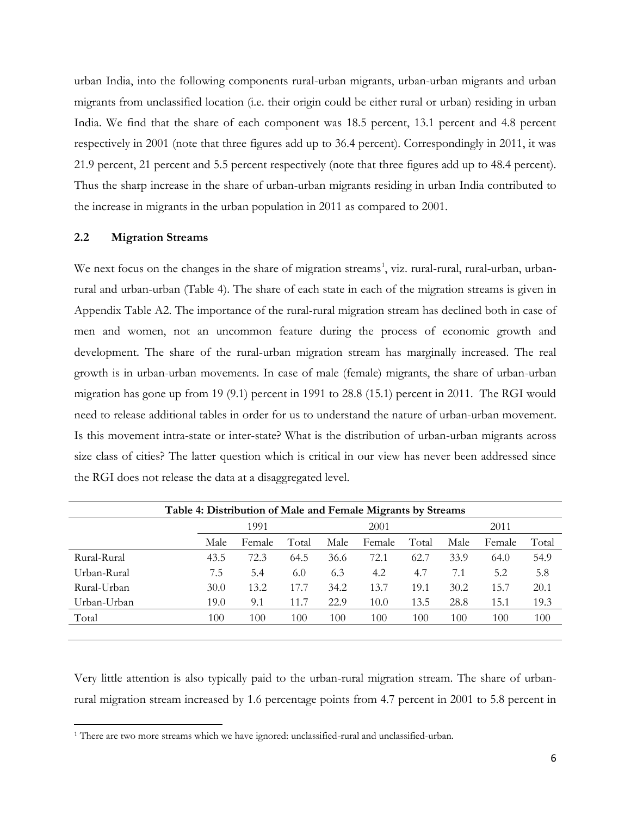urban India, into the following components rural-urban migrants, urban-urban migrants and urban migrants from unclassified location (i.e. their origin could be either rural or urban) residing in urban India. We find that the share of each component was 18.5 percent, 13.1 percent and 4.8 percent respectively in 2001 (note that three figures add up to 36.4 percent). Correspondingly in 2011, it was 21.9 percent, 21 percent and 5.5 percent respectively (note that three figures add up to 48.4 percent). Thus the sharp increase in the share of urban-urban migrants residing in urban India contributed to the increase in migrants in the urban population in 2011 as compared to 2001.

#### **2.2 Migration Streams**

 $\overline{a}$ 

We next focus on the changes in the share of migration streams<sup>1</sup>, viz. rural-rural, rural-urban, urbanrural and urban-urban (Table 4). The share of each state in each of the migration streams is given in Appendix Table A2. The importance of the rural-rural migration stream has declined both in case of men and women, not an uncommon feature during the process of economic growth and development. The share of the rural-urban migration stream has marginally increased. The real growth is in urban-urban movements. In case of male (female) migrants, the share of urban-urban migration has gone up from 19 (9.1) percent in 1991 to 28.8 (15.1) percent in 2011. The RGI would need to release additional tables in order for us to understand the nature of urban-urban movement. Is this movement intra-state or inter-state? What is the distribution of urban-urban migrants across size class of cities? The latter question which is critical in our view has never been addressed since the RGI does not release the data at a disaggregated level.

| Table 4: Distribution of Male and Female Migrants by Streams |      |        |       |      |        |       |      |        |       |
|--------------------------------------------------------------|------|--------|-------|------|--------|-------|------|--------|-------|
|                                                              |      | 1991   |       |      | 2001   |       |      | 2011   |       |
|                                                              | Male | Female | Total | Male | Female | Total | Male | Female | Total |
| Rural-Rural                                                  | 43.5 | 72.3   | 64.5  | 36.6 | 72.1   | 62.7  | 33.9 | 64.0   | 54.9  |
| Urban-Rural                                                  | 7.5  | 5.4    | 6.0   | 6.3  | 4.2    | 4.7   | 7.1  | 5.2    | 5.8   |
| Rural-Urban                                                  | 30.0 | 13.2   | 17.7  | 34.2 | 13.7   | 19.1  | 30.2 | 15.7   | 20.1  |
| Urban-Urban                                                  | 19.0 | 9.1    | 11.7  | 22.9 | 10.0   | 13.5  | 28.8 | 15.1   | 19.3  |
| Total                                                        | 100  | 100    | 100   | 100  | 100    | 100   | 100  | 100    | 100   |
|                                                              |      |        |       |      |        |       |      |        |       |

Very little attention is also typically paid to the urban-rural migration stream. The share of urbanrural migration stream increased by 1.6 percentage points from 4.7 percent in 2001 to 5.8 percent in

<sup>&</sup>lt;sup>1</sup> There are two more streams which we have ignored: unclassified-rural and unclassified-urban.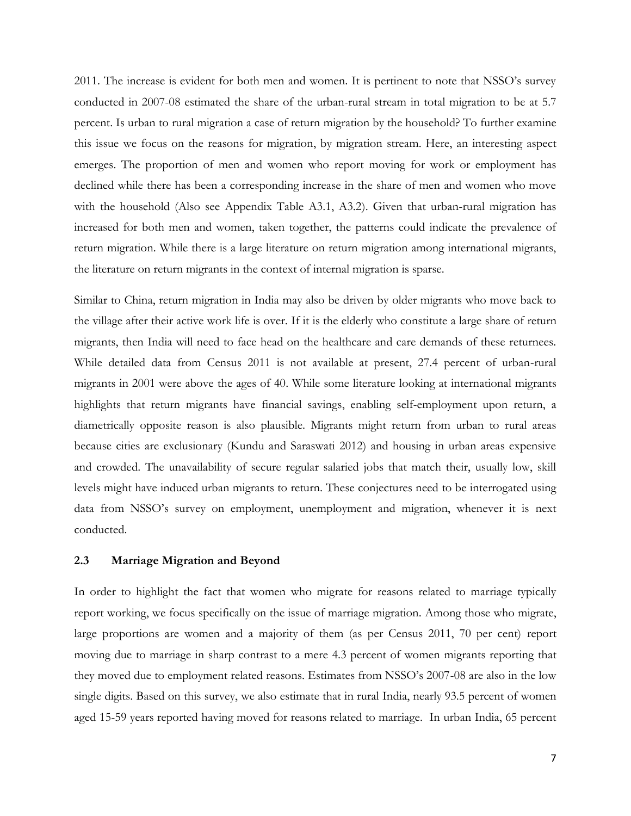2011. The increase is evident for both men and women. It is pertinent to note that NSSO's survey conducted in 2007-08 estimated the share of the urban-rural stream in total migration to be at 5.7 percent. Is urban to rural migration a case of return migration by the household? To further examine this issue we focus on the reasons for migration, by migration stream. Here, an interesting aspect emerges. The proportion of men and women who report moving for work or employment has declined while there has been a corresponding increase in the share of men and women who move with the household (Also see Appendix Table A3.1, A3.2). Given that urban-rural migration has increased for both men and women, taken together, the patterns could indicate the prevalence of return migration. While there is a large literature on return migration among international migrants, the literature on return migrants in the context of internal migration is sparse.

Similar to China, return migration in India may also be driven by older migrants who move back to the village after their active work life is over. If it is the elderly who constitute a large share of return migrants, then India will need to face head on the healthcare and care demands of these returnees. While detailed data from Census 2011 is not available at present, 27.4 percent of urban-rural migrants in 2001 were above the ages of 40. While some literature looking at international migrants highlights that return migrants have financial savings, enabling self-employment upon return, a diametrically opposite reason is also plausible. Migrants might return from urban to rural areas because cities are exclusionary (Kundu and Saraswati 2012) and housing in urban areas expensive and crowded. The unavailability of secure regular salaried jobs that match their, usually low, skill levels might have induced urban migrants to return. These conjectures need to be interrogated using data from NSSO's survey on employment, unemployment and migration, whenever it is next conducted.

#### **2.3 Marriage Migration and Beyond**

In order to highlight the fact that women who migrate for reasons related to marriage typically report working, we focus specifically on the issue of marriage migration. Among those who migrate, large proportions are women and a majority of them (as per Census 2011, 70 per cent) report moving due to marriage in sharp contrast to a mere 4.3 percent of women migrants reporting that they moved due to employment related reasons. Estimates from NSSO's 2007-08 are also in the low single digits. Based on this survey, we also estimate that in rural India, nearly 93.5 percent of women aged 15-59 years reported having moved for reasons related to marriage. In urban India, 65 percent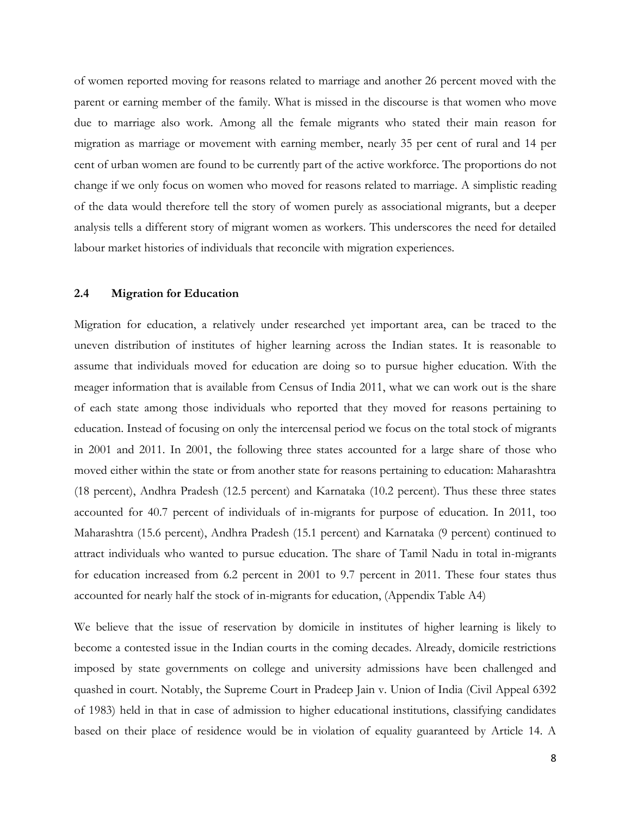of women reported moving for reasons related to marriage and another 26 percent moved with the parent or earning member of the family. What is missed in the discourse is that women who move due to marriage also work. Among all the female migrants who stated their main reason for migration as marriage or movement with earning member, nearly 35 per cent of rural and 14 per cent of urban women are found to be currently part of the active workforce. The proportions do not change if we only focus on women who moved for reasons related to marriage. A simplistic reading of the data would therefore tell the story of women purely as associational migrants, but a deeper analysis tells a different story of migrant women as workers. This underscores the need for detailed labour market histories of individuals that reconcile with migration experiences.

#### **2.4 Migration for Education**

Migration for education, a relatively under researched yet important area, can be traced to the uneven distribution of institutes of higher learning across the Indian states. It is reasonable to assume that individuals moved for education are doing so to pursue higher education. With the meager information that is available from Census of India 2011, what we can work out is the share of each state among those individuals who reported that they moved for reasons pertaining to education. Instead of focusing on only the intercensal period we focus on the total stock of migrants in 2001 and 2011. In 2001, the following three states accounted for a large share of those who moved either within the state or from another state for reasons pertaining to education: Maharashtra (18 percent), Andhra Pradesh (12.5 percent) and Karnataka (10.2 percent). Thus these three states accounted for 40.7 percent of individuals of in-migrants for purpose of education. In 2011, too Maharashtra (15.6 percent), Andhra Pradesh (15.1 percent) and Karnataka (9 percent) continued to attract individuals who wanted to pursue education. The share of Tamil Nadu in total in-migrants for education increased from 6.2 percent in 2001 to 9.7 percent in 2011. These four states thus accounted for nearly half the stock of in-migrants for education, (Appendix Table A4)

We believe that the issue of reservation by domicile in institutes of higher learning is likely to become a contested issue in the Indian courts in the coming decades. Already, domicile restrictions imposed by state governments on college and university admissions have been challenged and quashed in court. Notably, the Supreme Court in Pradeep Jain v. Union of India (Civil Appeal 6392 of 1983) held in that in case of admission to higher educational institutions, classifying candidates based on their place of residence would be in violation of equality guaranteed by Article 14. A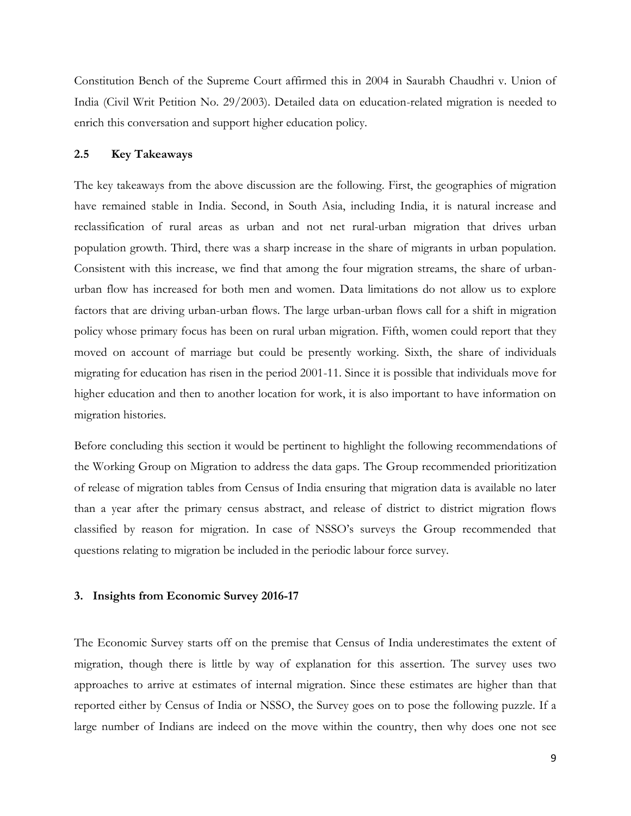Constitution Bench of the Supreme Court affirmed this in 2004 in Saurabh Chaudhri v. Union of India (Civil Writ Petition No. 29/2003). Detailed data on education-related migration is needed to enrich this conversation and support higher education policy.

#### **2.5 Key Takeaways**

The key takeaways from the above discussion are the following. First, the geographies of migration have remained stable in India. Second, in South Asia, including India, it is natural increase and reclassification of rural areas as urban and not net rural-urban migration that drives urban population growth. Third, there was a sharp increase in the share of migrants in urban population. Consistent with this increase, we find that among the four migration streams, the share of urbanurban flow has increased for both men and women. Data limitations do not allow us to explore factors that are driving urban-urban flows. The large urban-urban flows call for a shift in migration policy whose primary focus has been on rural urban migration. Fifth, women could report that they moved on account of marriage but could be presently working. Sixth, the share of individuals migrating for education has risen in the period 2001-11. Since it is possible that individuals move for higher education and then to another location for work, it is also important to have information on migration histories.

Before concluding this section it would be pertinent to highlight the following recommendations of the Working Group on Migration to address the data gaps. The Group recommended prioritization of release of migration tables from Census of India ensuring that migration data is available no later than a year after the primary census abstract, and release of district to district migration flows classified by reason for migration. In case of NSSO's surveys the Group recommended that questions relating to migration be included in the periodic labour force survey.

#### **3. Insights from Economic Survey 2016-17**

The Economic Survey starts off on the premise that Census of India underestimates the extent of migration, though there is little by way of explanation for this assertion. The survey uses two approaches to arrive at estimates of internal migration. Since these estimates are higher than that reported either by Census of India or NSSO, the Survey goes on to pose the following puzzle. If a large number of Indians are indeed on the move within the country, then why does one not see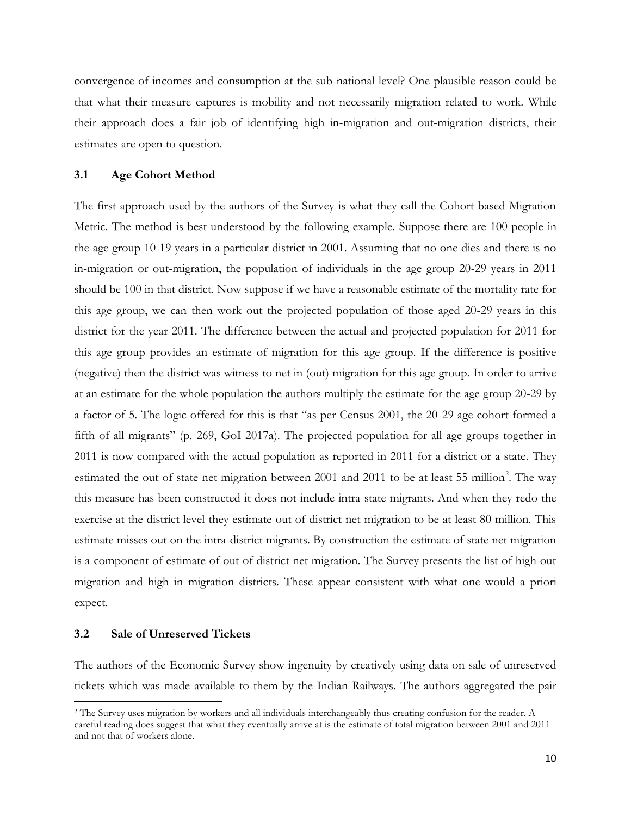convergence of incomes and consumption at the sub-national level? One plausible reason could be that what their measure captures is mobility and not necessarily migration related to work. While their approach does a fair job of identifying high in-migration and out-migration districts, their estimates are open to question.

#### **3.1 Age Cohort Method**

The first approach used by the authors of the Survey is what they call the Cohort based Migration Metric. The method is best understood by the following example. Suppose there are 100 people in the age group 10-19 years in a particular district in 2001. Assuming that no one dies and there is no in-migration or out-migration, the population of individuals in the age group 20-29 years in 2011 should be 100 in that district. Now suppose if we have a reasonable estimate of the mortality rate for this age group, we can then work out the projected population of those aged 20-29 years in this district for the year 2011. The difference between the actual and projected population for 2011 for this age group provides an estimate of migration for this age group. If the difference is positive (negative) then the district was witness to net in (out) migration for this age group. In order to arrive at an estimate for the whole population the authors multiply the estimate for the age group 20-29 by a factor of 5. The logic offered for this is that "as per Census 2001, the 20-29 age cohort formed a fifth of all migrants" (p. 269, GoI 2017a). The projected population for all age groups together in 2011 is now compared with the actual population as reported in 2011 for a district or a state. They estimated the out of state net migration between 2001 and 2011 to be at least 55 million<sup>2</sup>. The way this measure has been constructed it does not include intra-state migrants. And when they redo the exercise at the district level they estimate out of district net migration to be at least 80 million. This estimate misses out on the intra-district migrants. By construction the estimate of state net migration is a component of estimate of out of district net migration. The Survey presents the list of high out migration and high in migration districts. These appear consistent with what one would a priori expect.

#### **3.2 Sale of Unreserved Tickets**

l

The authors of the Economic Survey show ingenuity by creatively using data on sale of unreserved tickets which was made available to them by the Indian Railways. The authors aggregated the pair

<sup>2</sup> The Survey uses migration by workers and all individuals interchangeably thus creating confusion for the reader. A careful reading does suggest that what they eventually arrive at is the estimate of total migration between 2001 and 2011 and not that of workers alone.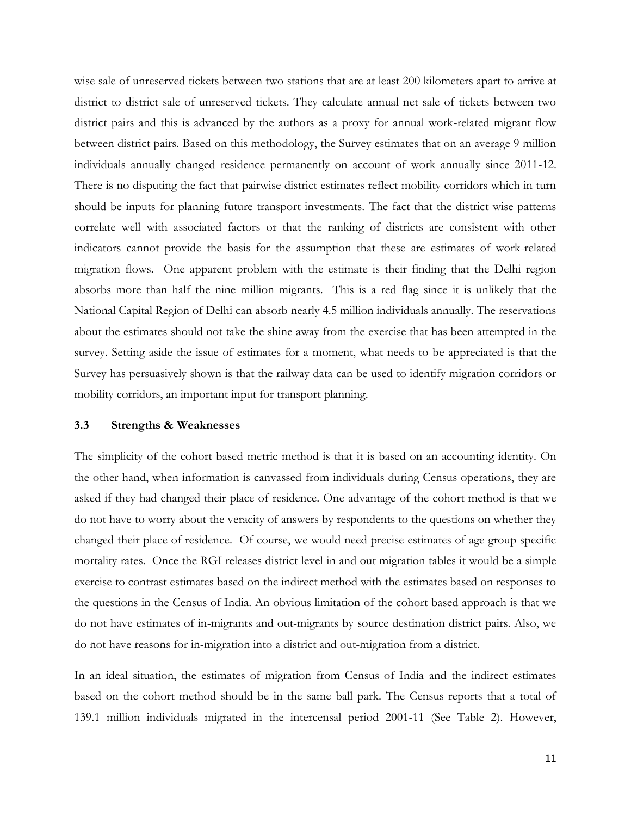wise sale of unreserved tickets between two stations that are at least 200 kilometers apart to arrive at district to district sale of unreserved tickets. They calculate annual net sale of tickets between two district pairs and this is advanced by the authors as a proxy for annual work-related migrant flow between district pairs. Based on this methodology, the Survey estimates that on an average 9 million individuals annually changed residence permanently on account of work annually since 2011-12. There is no disputing the fact that pairwise district estimates reflect mobility corridors which in turn should be inputs for planning future transport investments. The fact that the district wise patterns correlate well with associated factors or that the ranking of districts are consistent with other indicators cannot provide the basis for the assumption that these are estimates of work-related migration flows. One apparent problem with the estimate is their finding that the Delhi region absorbs more than half the nine million migrants. This is a red flag since it is unlikely that the National Capital Region of Delhi can absorb nearly 4.5 million individuals annually. The reservations about the estimates should not take the shine away from the exercise that has been attempted in the survey. Setting aside the issue of estimates for a moment, what needs to be appreciated is that the Survey has persuasively shown is that the railway data can be used to identify migration corridors or mobility corridors, an important input for transport planning.

#### **3.3 Strengths & Weaknesses**

The simplicity of the cohort based metric method is that it is based on an accounting identity. On the other hand, when information is canvassed from individuals during Census operations, they are asked if they had changed their place of residence. One advantage of the cohort method is that we do not have to worry about the veracity of answers by respondents to the questions on whether they changed their place of residence. Of course, we would need precise estimates of age group specific mortality rates. Once the RGI releases district level in and out migration tables it would be a simple exercise to contrast estimates based on the indirect method with the estimates based on responses to the questions in the Census of India. An obvious limitation of the cohort based approach is that we do not have estimates of in-migrants and out-migrants by source destination district pairs. Also, we do not have reasons for in-migration into a district and out-migration from a district.

In an ideal situation, the estimates of migration from Census of India and the indirect estimates based on the cohort method should be in the same ball park. The Census reports that a total of 139.1 million individuals migrated in the intercensal period 2001-11 (See Table 2). However,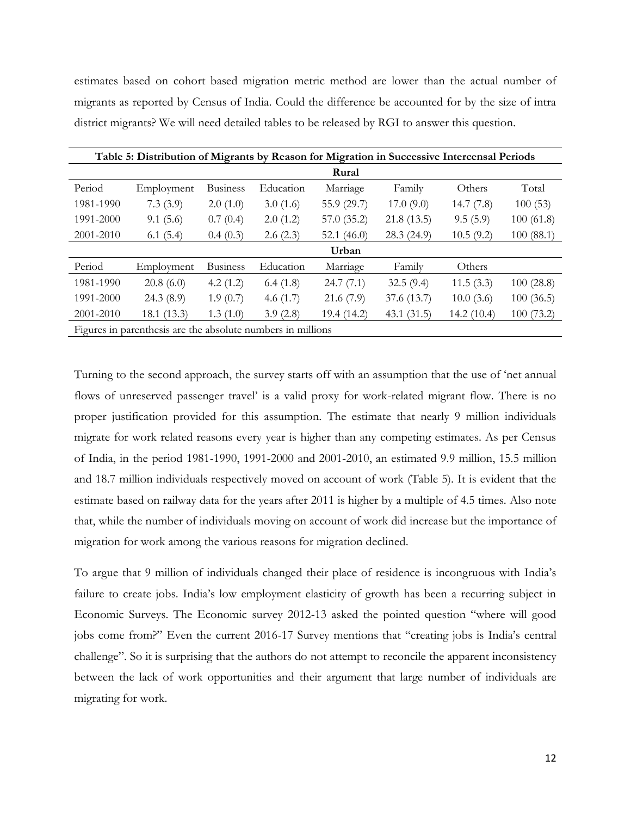estimates based on cohort based migration metric method are lower than the actual number of migrants as reported by Census of India. Could the difference be accounted for by the size of intra district migrants? We will need detailed tables to be released by RGI to answer this question.

|           | Table 5: Distribution of Migrants by Reason for Migration in Successive Intercensal Periods |                 |             |               |             |            |           |
|-----------|---------------------------------------------------------------------------------------------|-----------------|-------------|---------------|-------------|------------|-----------|
|           |                                                                                             |                 |             | Rural         |             |            |           |
| Period    | Employment                                                                                  | <b>Business</b> | Education   | Marriage      | Family      | Others     | Total     |
| 1981-1990 | 7.3(3.9)                                                                                    | 2.0(1.0)        | 3.0(1.6)    | 55.9 (29.7)   | 17.0(9.0)   | 14.7(7.8)  | 100(53)   |
| 1991-2000 | 9.1(5.6)                                                                                    | 0.7(0.4)        | 2.0(1.2)    | 57.0 (35.2)   | 21.8(13.5)  | 9.5(5.9)   | 100(61.8) |
| 2001-2010 | 6.1(5.4)                                                                                    | 0.4(0.3)        | 2.6(2.3)    | 52.1 $(46.0)$ | 28.3 (24.9) | 10.5(9.2)  | 100(88.1) |
|           |                                                                                             |                 |             | Urban         |             |            |           |
| Period    | Employment                                                                                  | <b>Business</b> | Education   | Marriage      | Family      | Others     |           |
| 1981-1990 | 20.8(6.0)                                                                                   | 4.2(1.2)        | 6.4(1.8)    | 24.7(7.1)     | 32.5(9.4)   | 11.5(3.3)  | 100(28.8) |
| 1991-2000 | 24.3(8.9)                                                                                   | 1.9(0.7)        | 4.6 $(1.7)$ | 21.6(7.9)     | 37.6 (13.7) | 10.0(3.6)  | 100(36.5) |
| 2001-2010 | 18.1(13.3)                                                                                  | 1.3(1.0)        | 3.9(2.8)    | 19.4(14.2)    | 43.1(31.5)  | 14.2(10.4) | 100(73.2) |
|           | Figures in parenthesis are the absolute numbers in millions                                 |                 |             |               |             |            |           |

Turning to the second approach, the survey starts off with an assumption that the use of 'net annual flows of unreserved passenger travel' is a valid proxy for work-related migrant flow. There is no proper justification provided for this assumption. The estimate that nearly 9 million individuals migrate for work related reasons every year is higher than any competing estimates. As per Census of India, in the period 1981-1990, 1991-2000 and 2001-2010, an estimated 9.9 million, 15.5 million and 18.7 million individuals respectively moved on account of work (Table 5). It is evident that the estimate based on railway data for the years after 2011 is higher by a multiple of 4.5 times. Also note that, while the number of individuals moving on account of work did increase but the importance of migration for work among the various reasons for migration declined.

To argue that 9 million of individuals changed their place of residence is incongruous with India's failure to create jobs. India's low employment elasticity of growth has been a recurring subject in Economic Surveys. The Economic survey 2012-13 asked the pointed question "where will good jobs come from?" Even the current 2016-17 Survey mentions that "creating jobs is India's central challenge". So it is surprising that the authors do not attempt to reconcile the apparent inconsistency between the lack of work opportunities and their argument that large number of individuals are migrating for work.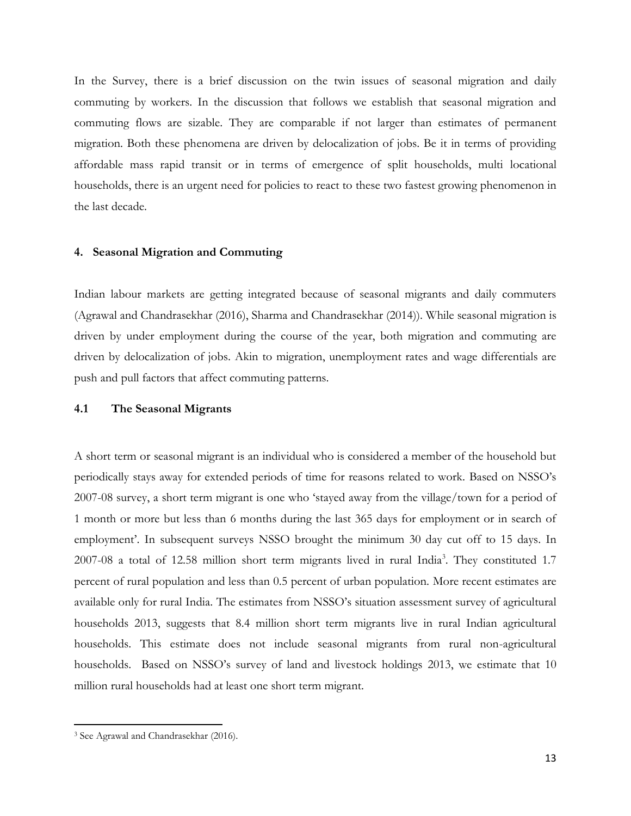In the Survey, there is a brief discussion on the twin issues of seasonal migration and daily commuting by workers. In the discussion that follows we establish that seasonal migration and commuting flows are sizable. They are comparable if not larger than estimates of permanent migration. Both these phenomena are driven by delocalization of jobs. Be it in terms of providing affordable mass rapid transit or in terms of emergence of split households, multi locational households, there is an urgent need for policies to react to these two fastest growing phenomenon in the last decade.

#### **4. Seasonal Migration and Commuting**

Indian labour markets are getting integrated because of seasonal migrants and daily commuters (Agrawal and Chandrasekhar (2016), Sharma and Chandrasekhar (2014)). While seasonal migration is driven by under employment during the course of the year, both migration and commuting are driven by delocalization of jobs. Akin to migration, unemployment rates and wage differentials are push and pull factors that affect commuting patterns.

#### **4.1 The Seasonal Migrants**

A short term or seasonal migrant is an individual who is considered a member of the household but periodically stays away for extended periods of time for reasons related to work. Based on NSSO's 2007-08 survey, a short term migrant is one who 'stayed away from the village/town for a period of 1 month or more but less than 6 months during the last 365 days for employment or in search of employment'. In subsequent surveys NSSO brought the minimum 30 day cut off to 15 days. In 2007-08 a total of 12.58 million short term migrants lived in rural India<sup>3</sup>. They constituted 1.7 percent of rural population and less than 0.5 percent of urban population. More recent estimates are available only for rural India. The estimates from NSSO's situation assessment survey of agricultural households 2013, suggests that 8.4 million short term migrants live in rural Indian agricultural households. This estimate does not include seasonal migrants from rural non-agricultural households. Based on NSSO's survey of land and livestock holdings 2013, we estimate that 10 million rural households had at least one short term migrant.

 $\overline{a}$ 

<sup>3</sup> See Agrawal and Chandrasekhar (2016).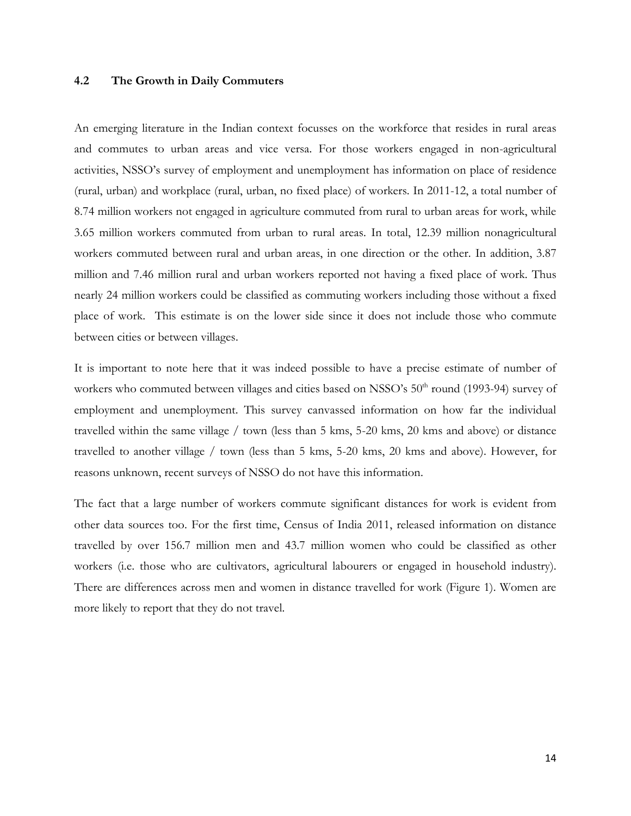#### **4.2 The Growth in Daily Commuters**

An emerging literature in the Indian context focusses on the workforce that resides in rural areas and commutes to urban areas and vice versa. For those workers engaged in non-agricultural activities, NSSO's survey of employment and unemployment has information on place of residence (rural, urban) and workplace (rural, urban, no fixed place) of workers. In 2011-12, a total number of 8.74 million workers not engaged in agriculture commuted from rural to urban areas for work, while 3.65 million workers commuted from urban to rural areas. In total, 12.39 million nonagricultural workers commuted between rural and urban areas, in one direction or the other. In addition, 3.87 million and 7.46 million rural and urban workers reported not having a fixed place of work. Thus nearly 24 million workers could be classified as commuting workers including those without a fixed place of work. This estimate is on the lower side since it does not include those who commute between cities or between villages.

It is important to note here that it was indeed possible to have a precise estimate of number of workers who commuted between villages and cities based on NSSO's 50<sup>th</sup> round (1993-94) survey of employment and unemployment. This survey canvassed information on how far the individual travelled within the same village / town (less than 5 kms, 5-20 kms, 20 kms and above) or distance travelled to another village / town (less than 5 kms, 5-20 kms, 20 kms and above). However, for reasons unknown, recent surveys of NSSO do not have this information.

The fact that a large number of workers commute significant distances for work is evident from other data sources too. For the first time, Census of India 2011, released information on distance travelled by over 156.7 million men and 43.7 million women who could be classified as other workers (i.e. those who are cultivators, agricultural labourers or engaged in household industry). There are differences across men and women in distance travelled for work (Figure 1). Women are more likely to report that they do not travel.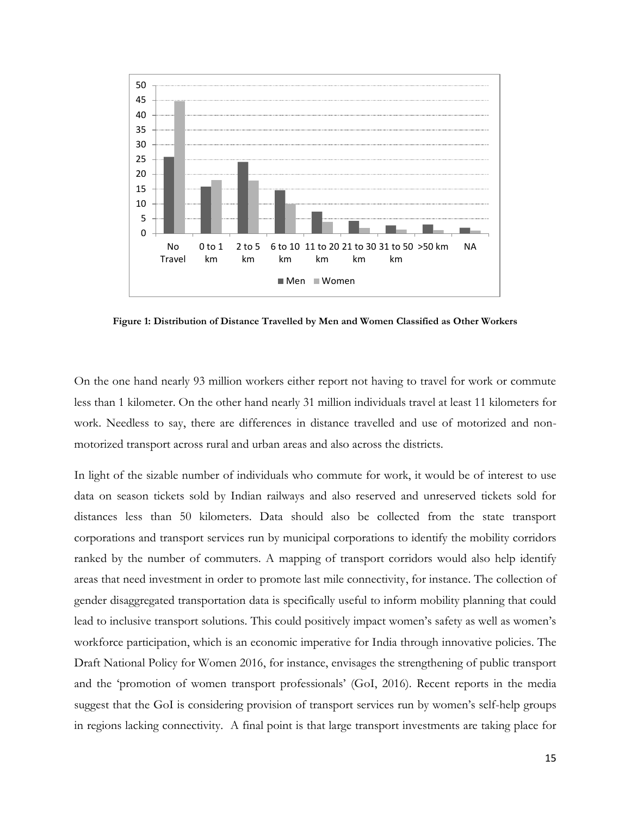

**Figure 1: Distribution of Distance Travelled by Men and Women Classified as Other Workers**

On the one hand nearly 93 million workers either report not having to travel for work or commute less than 1 kilometer. On the other hand nearly 31 million individuals travel at least 11 kilometers for work. Needless to say, there are differences in distance travelled and use of motorized and nonmotorized transport across rural and urban areas and also across the districts.

In light of the sizable number of individuals who commute for work, it would be of interest to use data on season tickets sold by Indian railways and also reserved and unreserved tickets sold for distances less than 50 kilometers. Data should also be collected from the state transport corporations and transport services run by municipal corporations to identify the mobility corridors ranked by the number of commuters. A mapping of transport corridors would also help identify areas that need investment in order to promote last mile connectivity, for instance. The collection of gender disaggregated transportation data is specifically useful to inform mobility planning that could lead to inclusive transport solutions. This could positively impact women's safety as well as women's workforce participation, which is an economic imperative for India through innovative policies. The Draft National Policy for Women 2016, for instance, envisages the strengthening of public transport and the 'promotion of women transport professionals' (GoI, 2016). Recent reports in the media suggest that the GoI is considering provision of transport services run by women's self-help groups in regions lacking connectivity. A final point is that large transport investments are taking place for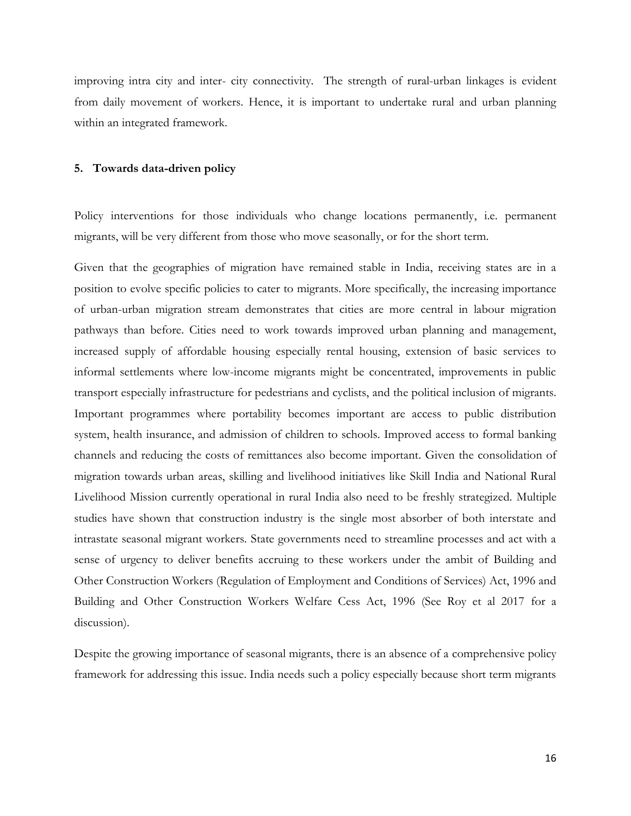improving intra city and inter- city connectivity. The strength of rural-urban linkages is evident from daily movement of workers. Hence, it is important to undertake rural and urban planning within an integrated framework.

#### **5. Towards data-driven policy**

Policy interventions for those individuals who change locations permanently, i.e. permanent migrants, will be very different from those who move seasonally, or for the short term.

Given that the geographies of migration have remained stable in India, receiving states are in a position to evolve specific policies to cater to migrants. More specifically, the increasing importance of urban-urban migration stream demonstrates that cities are more central in labour migration pathways than before. Cities need to work towards improved urban planning and management, increased supply of affordable housing especially rental housing, extension of basic services to informal settlements where low-income migrants might be concentrated, improvements in public transport especially infrastructure for pedestrians and cyclists, and the political inclusion of migrants. Important programmes where portability becomes important are access to public distribution system, health insurance, and admission of children to schools. Improved access to formal banking channels and reducing the costs of remittances also become important. Given the consolidation of migration towards urban areas, skilling and livelihood initiatives like Skill India and National Rural Livelihood Mission currently operational in rural India also need to be freshly strategized. Multiple studies have shown that construction industry is the single most absorber of both interstate and intrastate seasonal migrant workers. State governments need to streamline processes and act with a sense of urgency to deliver benefits accruing to these workers under the ambit of Building and Other Construction Workers (Regulation of Employment and Conditions of Services) Act, 1996 and Building and Other Construction Workers Welfare Cess Act, 1996 (See Roy et al 2017 for a discussion).

Despite the growing importance of seasonal migrants, there is an absence of a comprehensive policy framework for addressing this issue. India needs such a policy especially because short term migrants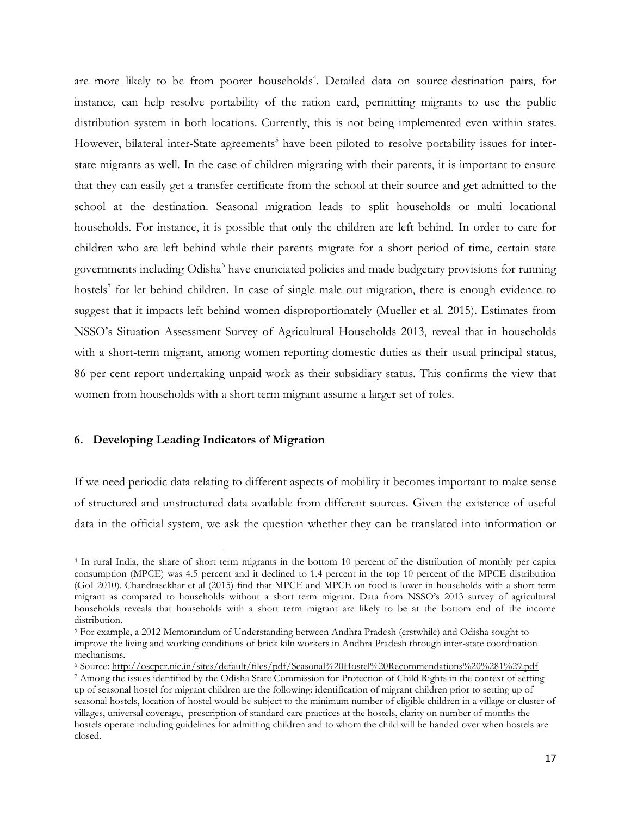are more likely to be from poorer households<sup>4</sup>. Detailed data on source-destination pairs, for instance, can help resolve portability of the ration card, permitting migrants to use the public distribution system in both locations. Currently, this is not being implemented even within states. However, bilateral inter-State agreements<sup>5</sup> have been piloted to resolve portability issues for interstate migrants as well. In the case of children migrating with their parents, it is important to ensure that they can easily get a transfer certificate from the school at their source and get admitted to the school at the destination. Seasonal migration leads to split households or multi locational households. For instance, it is possible that only the children are left behind. In order to care for children who are left behind while their parents migrate for a short period of time, certain state governments including Odisha<sup>6</sup> have enunciated policies and made budgetary provisions for running hostels<sup>7</sup> for let behind children. In case of single male out migration, there is enough evidence to suggest that it impacts left behind women disproportionately (Mueller et al. 2015). Estimates from NSSO's Situation Assessment Survey of Agricultural Households 2013, reveal that in households with a short-term migrant, among women reporting domestic duties as their usual principal status, 86 per cent report undertaking unpaid work as their subsidiary status. This confirms the view that women from households with a short term migrant assume a larger set of roles.

#### **6. Developing Leading Indicators of Migration**

 $\overline{a}$ 

If we need periodic data relating to different aspects of mobility it becomes important to make sense of structured and unstructured data available from different sources. Given the existence of useful data in the official system, we ask the question whether they can be translated into information or

<sup>4</sup> In rural India, the share of short term migrants in the bottom 10 percent of the distribution of monthly per capita consumption (MPCE) was 4.5 percent and it declined to 1.4 percent in the top 10 percent of the MPCE distribution (GoI 2010). Chandrasekhar et al (2015) find that MPCE and MPCE on food is lower in households with a short term migrant as compared to households without a short term migrant. Data from NSSO's 2013 survey of agricultural households reveals that households with a short term migrant are likely to be at the bottom end of the income distribution.

<sup>5</sup> For example, a 2012 Memorandum of Understanding between Andhra Pradesh (erstwhile) and Odisha sought to improve the living and working conditions of brick kiln workers in Andhra Pradesh through inter-state coordination mechanisms.

<sup>6</sup> Source[: http://oscpcr.nic.in/sites/default/files/pdf/Seasonal%20Hostel%20Recommendations%20%281%29.pdf](http://oscpcr.nic.in/sites/default/files/pdf/Seasonal%20Hostel%20Recommendations%20%281%29.pdf)

<sup>7</sup> Among the issues identified by the Odisha State Commission for Protection of Child Rights in the context of setting up of seasonal hostel for migrant children are the following: identification of migrant children prior to setting up of seasonal hostels, location of hostel would be subject to the minimum number of eligible children in a village or cluster of villages, universal coverage, prescription of standard care practices at the hostels, clarity on number of months the hostels operate including guidelines for admitting children and to whom the child will be handed over when hostels are closed.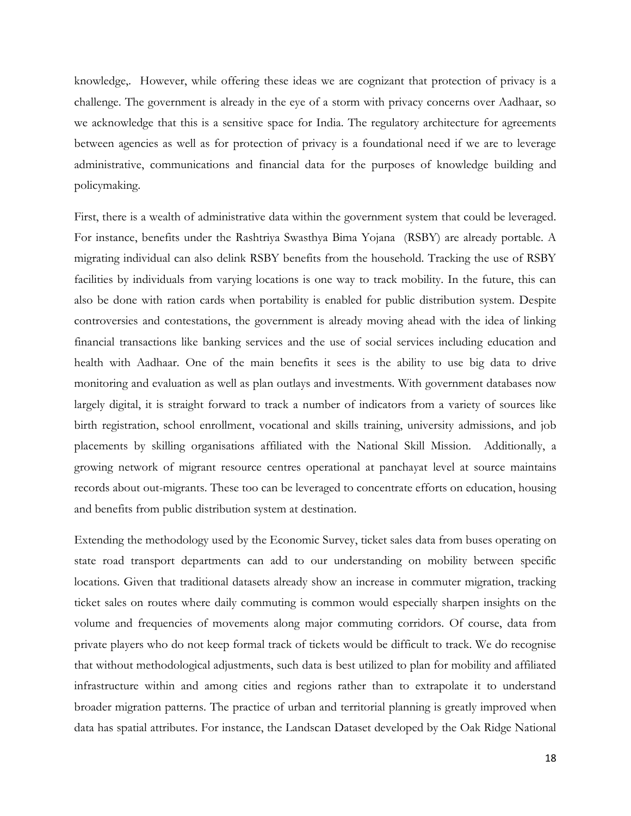knowledge,. However, while offering these ideas we are cognizant that protection of privacy is a challenge. The government is already in the eye of a storm with privacy concerns over Aadhaar, so we acknowledge that this is a sensitive space for India. The regulatory architecture for agreements between agencies as well as for protection of privacy is a foundational need if we are to leverage administrative, communications and financial data for the purposes of knowledge building and policymaking.

First, there is a wealth of administrative data within the government system that could be leveraged. For instance, benefits under the Rashtriya Swasthya Bima Yojana (RSBY) are already portable. A migrating individual can also delink RSBY benefits from the household. Tracking the use of RSBY facilities by individuals from varying locations is one way to track mobility. In the future, this can also be done with ration cards when portability is enabled for public distribution system. Despite controversies and contestations, the government is already moving ahead with the idea of linking financial transactions like banking services and the use of social services including education and health with Aadhaar. One of the main benefits it sees is the ability to use big data to drive monitoring and evaluation as well as plan outlays and investments. With government databases now largely digital, it is straight forward to track a number of indicators from a variety of sources like birth registration, school enrollment, vocational and skills training, university admissions, and job placements by skilling organisations affiliated with the National Skill Mission. Additionally, a growing network of migrant resource centres operational at panchayat level at source maintains records about out-migrants. These too can be leveraged to concentrate efforts on education, housing and benefits from public distribution system at destination.

Extending the methodology used by the Economic Survey, ticket sales data from buses operating on state road transport departments can add to our understanding on mobility between specific locations. Given that traditional datasets already show an increase in commuter migration, tracking ticket sales on routes where daily commuting is common would especially sharpen insights on the volume and frequencies of movements along major commuting corridors. Of course, data from private players who do not keep formal track of tickets would be difficult to track. We do recognise that without methodological adjustments, such data is best utilized to plan for mobility and affiliated infrastructure within and among cities and regions rather than to extrapolate it to understand broader migration patterns. The practice of urban and territorial planning is greatly improved when data has spatial attributes. For instance, the Landscan Dataset developed by the Oak Ridge National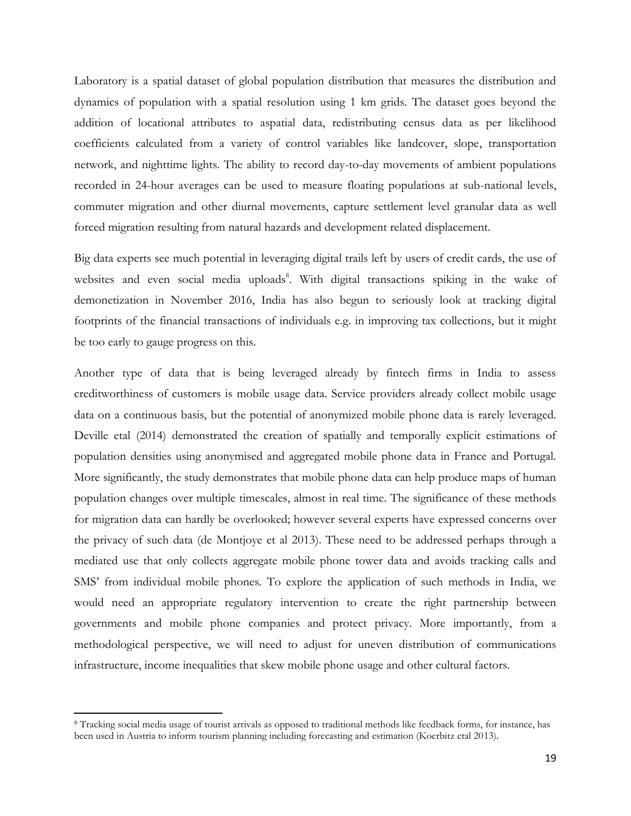Laboratory is a spatial dataset of global population distribution that measures the distribution and dynamics of population with a spatial resolution using 1 km grids. The dataset goes beyond the addition of locational attributes to aspatial data, redistributing census data as per likelihood coefficients calculated from a variety of control variables like landcover, slope, transportation network, and nighttime lights. The ability to record day-to-day movements of ambient populations recorded in 24-hour averages can be used to measure floating populations at sub-national levels, commuter migration and other diurnal movements, capture settlement level granular data as well forced migration resulting from natural hazards and development related displacement.

Big data experts see much potential in leveraging digital trails left by users of credit cards, the use of websites and even social media uploads<sup>8</sup>. With digital transactions spiking in the wake of demonetization in November 2016, India has also begun to seriously look at tracking digital footprints of the financial transactions of individuals e.g. in improving tax collections, but it might be too early to gauge progress on this.

Another type of data that is being leveraged already by fintech firms in India to assess creditworthiness of customers is mobile usage data. Service providers already collect mobile usage data on a continuous basis, but the potential of anonymized mobile phone data is rarely leveraged. Deville etal (2014) demonstrated the creation of spatially and temporally explicit estimations of population densities using anonymised and aggregated mobile phone data in France and Portugal. More significantly, the study demonstrates that mobile phone data can help produce maps of human population changes over multiple timescales, almost in real time. The significance of these methods for migration data can hardly be overlooked; however several experts have expressed concerns over the privacy of such data (de Montjoye et al 2013). These need to be addressed perhaps through a mediated use that only collects aggregate mobile phone tower data and avoids tracking calls and SMS' from individual mobile phones. To explore the application of such methods in India, we would need an appropriate regulatory intervention to create the right partnership between governments and mobile phone companies and protect privacy. More importantly, from a methodological perspective, we will need to adjust for uneven distribution of communications infrastructure, income inequalities that skew mobile phone usage and other cultural factors.

 $\overline{\phantom{a}}$ 

<sup>8</sup> Tracking social media usage of tourist arrivals as opposed to traditional methods like feedback forms, for instance, has been used in Austria to inform tourism planning including forecasting and estimation (Koerbitz etal 2013).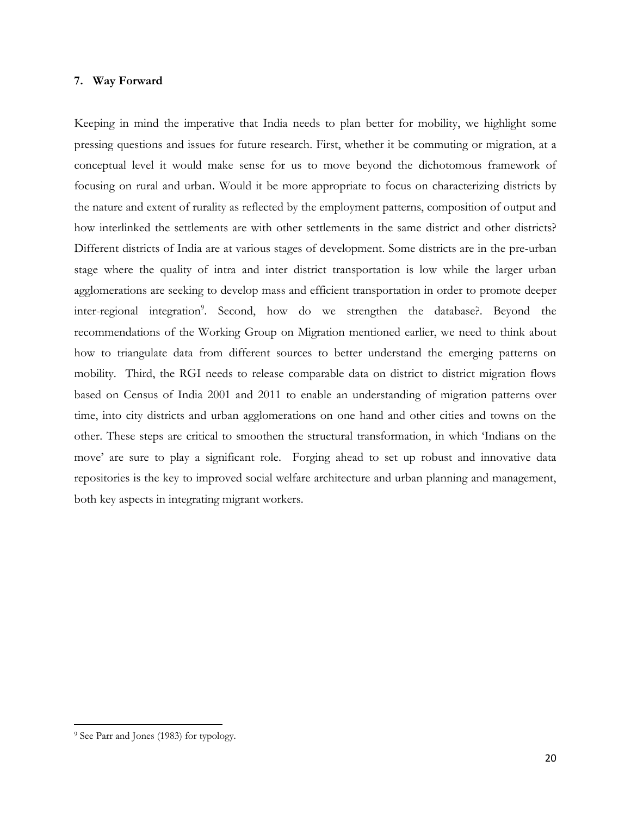#### **7. Way Forward**

Keeping in mind the imperative that India needs to plan better for mobility, we highlight some pressing questions and issues for future research. First, whether it be commuting or migration, at a conceptual level it would make sense for us to move beyond the dichotomous framework of focusing on rural and urban. Would it be more appropriate to focus on characterizing districts by the nature and extent of rurality as reflected by the employment patterns, composition of output and how interlinked the settlements are with other settlements in the same district and other districts? Different districts of India are at various stages of development. Some districts are in the pre-urban stage where the quality of intra and inter district transportation is low while the larger urban agglomerations are seeking to develop mass and efficient transportation in order to promote deeper inter-regional integration<sup>9</sup>. Second, how do we strengthen the database?. Beyond the recommendations of the Working Group on Migration mentioned earlier, we need to think about how to triangulate data from different sources to better understand the emerging patterns on mobility. Third, the RGI needs to release comparable data on district to district migration flows based on Census of India 2001 and 2011 to enable an understanding of migration patterns over time, into city districts and urban agglomerations on one hand and other cities and towns on the other. These steps are critical to smoothen the structural transformation, in which 'Indians on the move' are sure to play a significant role. Forging ahead to set up robust and innovative data repositories is the key to improved social welfare architecture and urban planning and management, both key aspects in integrating migrant workers.

 $\overline{a}$ 

<sup>9</sup> See Parr and Jones (1983) for typology.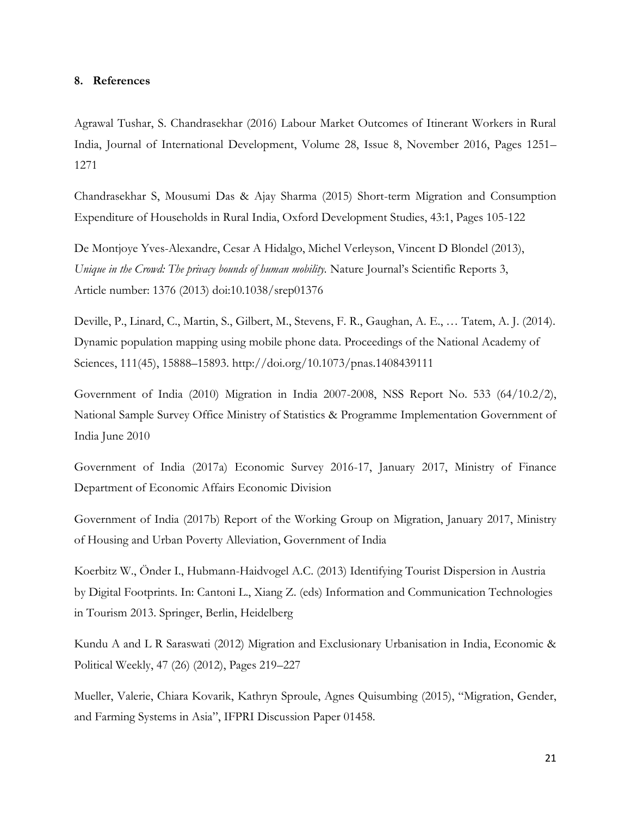#### **8. References**

Agrawal Tushar, S. Chandrasekhar (2016) Labour Market Outcomes of Itinerant Workers in Rural India, Journal of International Development, Volume 28, Issue 8, November 2016, Pages 1251– 1271

Chandrasekhar S, Mousumi Das & Ajay Sharma (2015) Short-term Migration and Consumption Expenditure of Households in Rural India, Oxford Development Studies, 43:1, Pages 105-122

De Montjoye Yves-Alexandre, Cesar A Hidalgo, Michel Verleyson, Vincent D Blondel (2013), *Unique in the Crowd: The privacy bounds of human mobility.* Nature Journal's Scientific Reports 3, Article number: 1376 (2013) doi:10.1038/srep01376

Deville, P., Linard, C., Martin, S., Gilbert, M., Stevens, F. R., Gaughan, A. E., … Tatem, A. J. (2014). Dynamic population mapping using mobile phone data. Proceedings of the National Academy of Sciences, 111(45), 15888–15893. http://doi.org/10.1073/pnas.1408439111

Government of India (2010) Migration in India 2007-2008, NSS Report No. 533 (64/10.2/2), National Sample Survey Office Ministry of Statistics & Programme Implementation Government of India June 2010

Government of India (2017a) Economic Survey 2016-17, January 2017, Ministry of Finance Department of Economic Affairs Economic Division

Government of India (2017b) Report of the Working Group on Migration, January 2017, Ministry of Housing and Urban Poverty Alleviation, Government of India

Koerbitz W., Önder I., Hubmann-Haidvogel A.C. (2013) Identifying Tourist Dispersion in Austria by Digital Footprints. In: Cantoni L., Xiang Z. (eds) Information and Communication Technologies in Tourism 2013. Springer, Berlin, Heidelberg

Kundu A and L R Saraswati (2012) Migration and Exclusionary Urbanisation in India, Economic & Political Weekly, 47 (26) (2012), Pages 219–227

Mueller, Valerie, Chiara Kovarik, Kathryn Sproule, Agnes Quisumbing (2015), "Migration, Gender, and Farming Systems in Asia", IFPRI Discussion Paper 01458.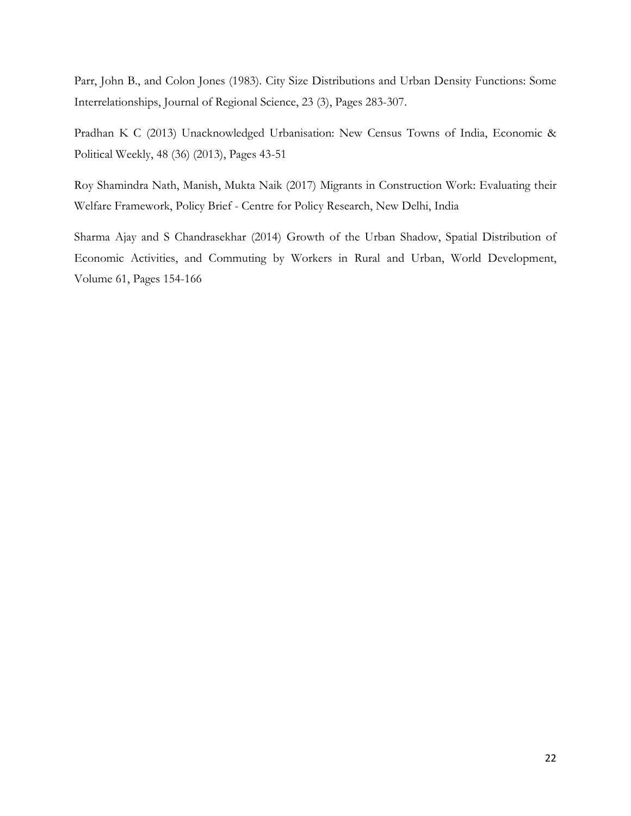Parr, John B., and Colon Jones (1983). City Size Distributions and Urban Density Functions: Some Interrelationships, Journal of Regional Science, 23 (3), Pages 283-307.

Pradhan K C (2013) Unacknowledged Urbanisation: New Census Towns of India, Economic & Political Weekly, 48 (36) (2013), Pages 43-51

Roy Shamindra Nath, Manish, Mukta Naik (2017) Migrants in Construction Work: Evaluating their Welfare Framework, Policy Brief - Centre for Policy Research, New Delhi, India

Sharma Ajay and S Chandrasekhar (2014) Growth of the Urban Shadow, Spatial Distribution of Economic Activities, and Commuting by Workers in Rural and Urban, World Development, Volume 61, Pages 154-166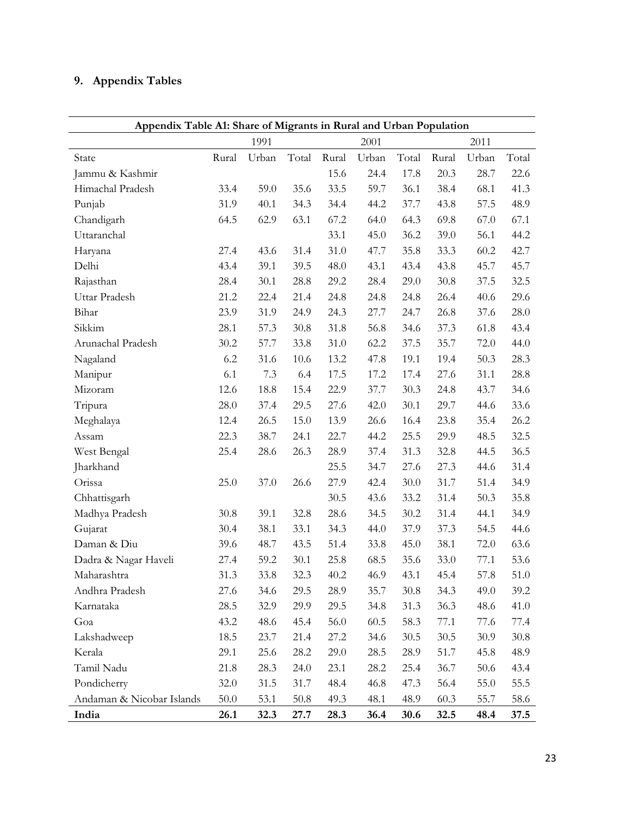## **9. Appendix Tables**

|                           | Appendix Table A1: Share of Migrants in Rural and Urban Population |       |       |       |       |       |        |       |       |  |  |
|---------------------------|--------------------------------------------------------------------|-------|-------|-------|-------|-------|--------|-------|-------|--|--|
|                           |                                                                    | 1991  |       |       | 2001  |       |        | 2011  |       |  |  |
| State                     | Rural                                                              | Urban | Total | Rural | Urban | Total | Rural  | Urban | Total |  |  |
| Jammu & Kashmir           |                                                                    |       |       | 15.6  | 24.4  | 17.8  | 20.3   | 28.7  | 22.6  |  |  |
| Himachal Pradesh          | 33.4                                                               | 59.0  | 35.6  | 33.5  | 59.7  | 36.1  | 38.4   | 68.1  | 41.3  |  |  |
| Punjab                    | 31.9                                                               | 40.1  | 34.3  | 34.4  | 44.2  | 37.7  | 43.8   | 57.5  | 48.9  |  |  |
| Chandigarh                | 64.5                                                               | 62.9  | 63.1  | 67.2  | 64.0  | 64.3  | 69.8   | 67.0  | 67.1  |  |  |
| Uttaranchal               |                                                                    |       |       | 33.1  | 45.0  | 36.2  | 39.0   | 56.1  | 44.2  |  |  |
| Haryana                   | 27.4                                                               | 43.6  | 31.4  | 31.0  | 47.7  | 35.8  | 33.3   | 60.2  | 42.7  |  |  |
| Delhi                     | 43.4                                                               | 39.1  | 39.5  | 48.0  | 43.1  | 43.4  | 43.8   | 45.7  | 45.7  |  |  |
| Rajasthan                 | 28.4                                                               | 30.1  | 28.8  | 29.2  | 28.4  | 29.0  | 30.8   | 37.5  | 32.5  |  |  |
| Uttar Pradesh             | 21.2                                                               | 22.4  | 21.4  | 24.8  | 24.8  | 24.8  | 26.4   | 40.6  | 29.6  |  |  |
| Bihar                     | 23.9                                                               | 31.9  | 24.9  | 24.3  | 27.7  | 24.7  | 26.8   | 37.6  | 28.0  |  |  |
| Sikkim                    | 28.1                                                               | 57.3  | 30.8  | 31.8  | 56.8  | 34.6  | 37.3   | 61.8  | 43.4  |  |  |
| Arunachal Pradesh         | 30.2                                                               | 57.7  | 33.8  | 31.0  | 62.2  | 37.5  | 35.7   | 72.0  | 44.0  |  |  |
| Nagaland                  | 6.2                                                                | 31.6  | 10.6  | 13.2  | 47.8  | 19.1  | 19.4   | 50.3  | 28.3  |  |  |
| Manipur                   | 6.1                                                                | 7.3   | 6.4   | 17.5  | 17.2  | 17.4  | 27.6   | 31.1  | 28.8  |  |  |
| Mizoram                   | 12.6                                                               | 18.8  | 15.4  | 22.9  | 37.7  | 30.3  | 24.8   | 43.7  | 34.6  |  |  |
| Tripura                   | 28.0                                                               | 37.4  | 29.5  | 27.6  | 42.0  | 30.1  | 29.7   | 44.6  | 33.6  |  |  |
| Meghalaya                 | 12.4                                                               | 26.5  | 15.0  | 13.9  | 26.6  | 16.4  | 23.8   | 35.4  | 26.2  |  |  |
| Assam                     | 22.3                                                               | 38.7  | 24.1  | 22.7  | 44.2  | 25.5  | 29.9   | 48.5  | 32.5  |  |  |
| West Bengal               | 25.4                                                               | 28.6  | 26.3  | 28.9  | 37.4  | 31.3  | 32.8   | 44.5  | 36.5  |  |  |
| Jharkhand                 |                                                                    |       |       | 25.5  | 34.7  | 27.6  | 27.3   | 44.6  | 31.4  |  |  |
| Orissa                    | 25.0                                                               | 37.0  | 26.6  | 27.9  | 42.4  | 30.0  | 31.7   | 51.4  | 34.9  |  |  |
| Chhattisgarh              |                                                                    |       |       | 30.5  | 43.6  | 33.2  | 31.4   | 50.3  | 35.8  |  |  |
| Madhya Pradesh            | 30.8                                                               | 39.1  | 32.8  | 28.6  | 34.5  | 30.2  | 31.4   | 44.1  | 34.9  |  |  |
| Gujarat                   | 30.4                                                               | 38.1  | 33.1  | 34.3  | 44.0  | 37.9  | 37.3   | 54.5  | 44.6  |  |  |
| Daman & Diu               | 39.6                                                               | 48.7  | 43.5  | 51.4  | 33.8  | 45.0  | 38.1   | 72.0  | 63.6  |  |  |
| Dadra & Nagar Haveli      | 27.4                                                               | 59.2  | 30.1  | 25.8  | 68.5  | 35.6  | 33.0   | 77.1  | 53.6  |  |  |
| Maharashtra               | 31.3                                                               | 33.8  | 32.3  | 40.2  | 46.9  | 43.1  | 45.4   | 57.8  | 51.0  |  |  |
| Andhra Pradesh            | 27.6                                                               | 34.6  | 29.5  | 28.9  | 35.7  | 30.8  | 34.3   | 49.0  | 39.2  |  |  |
| Karnataka                 | 28.5                                                               | 32.9  | 29.9  | 29.5  | 34.8  | 31.3  | 36.3   | 48.6  | 41.0  |  |  |
| Goa                       | 43.2                                                               | 48.6  | 45.4  | 56.0  | 60.5  | 58.3  | 77.1   | 77.6  | 77.4  |  |  |
| Lakshadweep               | 18.5                                                               | 23.7  | 21.4  | 27.2  | 34.6  | 30.5  | $30.5$ | 30.9  | 30.8  |  |  |
| Kerala                    | 29.1                                                               | 25.6  | 28.2  | 29.0  | 28.5  | 28.9  | 51.7   | 45.8  | 48.9  |  |  |
| Tamil Nadu                | 21.8                                                               | 28.3  | 24.0  | 23.1  | 28.2  | 25.4  | 36.7   | 50.6  | 43.4  |  |  |
| Pondicherry               | 32.0                                                               | 31.5  | 31.7  | 48.4  | 46.8  | 47.3  | 56.4   | 55.0  | 55.5  |  |  |
| Andaman & Nicobar Islands | 50.0                                                               | 53.1  | 50.8  | 49.3  | 48.1  | 48.9  | 60.3   | 55.7  | 58.6  |  |  |
| India                     | 26.1                                                               | 32.3  | 27.7  | 28.3  | 36.4  | 30.6  | 32.5   | 48.4  | 37.5  |  |  |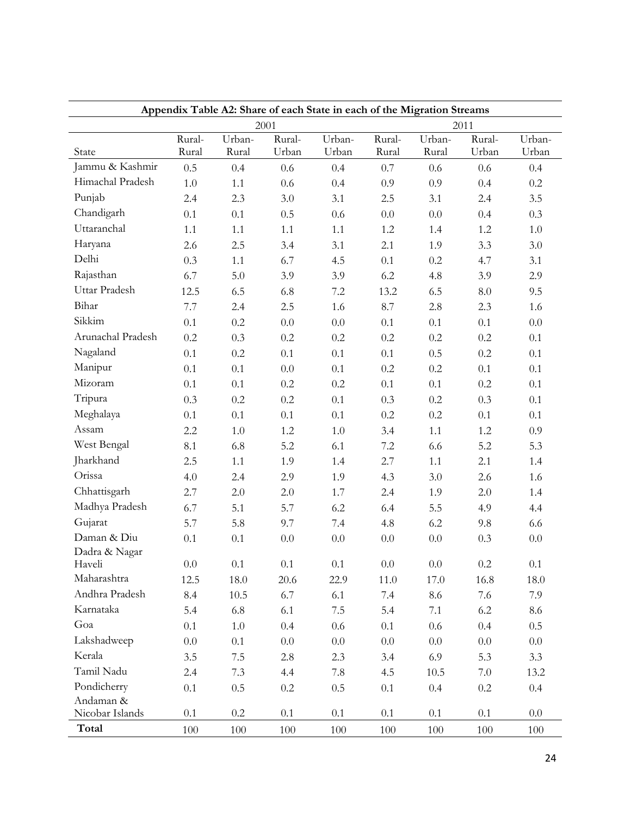| Appendix Table A2: Share of each State in each of the Migration Streams |                 |                 |                 |                 |                 |                 |                 |                 |  |  |  |
|-------------------------------------------------------------------------|-----------------|-----------------|-----------------|-----------------|-----------------|-----------------|-----------------|-----------------|--|--|--|
|                                                                         |                 |                 | 2001            |                 |                 |                 | 2011            |                 |  |  |  |
| State                                                                   | Rural-<br>Rural | Urban-<br>Rural | Rural-<br>Urban | Urban-<br>Urban | Rural-<br>Rural | Urban-<br>Rural | Rural-<br>Urban | Urban-<br>Urban |  |  |  |
| Jammu & Kashmir                                                         | 0.5             | 0.4             | 0.6             | 0.4             | 0.7             | 0.6             | 0.6             | 0.4             |  |  |  |
| Himachal Pradesh                                                        | 1.0             | 1.1             | 0.6             | 0.4             | 0.9             | 0.9             | 0.4             | 0.2             |  |  |  |
| Punjab                                                                  | 2.4             | 2.3             | 3.0             | 3.1             | 2.5             | 3.1             | 2.4             | 3.5             |  |  |  |
| Chandigarh                                                              | 0.1             | 0.1             | 0.5             | 0.6             | 0.0             | $0.0\,$         | 0.4             | 0.3             |  |  |  |
| Uttaranchal                                                             | 1.1             | 1.1             | 1.1             | 1.1             | 1.2             | 1.4             | 1.2             | 1.0             |  |  |  |
| Haryana                                                                 |                 | 2.5             | 3.4             | 3.1             | 2.1             | 1.9             | 3.3             | 3.0             |  |  |  |
| Delhi                                                                   | 2.6<br>0.3      |                 |                 |                 |                 |                 |                 |                 |  |  |  |
| Rajasthan                                                               |                 | 1.1             | 6.7             | 4.5             | 0.1             | $0.2\,$         | 4.7             | 3.1             |  |  |  |
| Uttar Pradesh                                                           | 6.7             | 5.0             | 3.9             | 3.9             | 6.2             | 4.8             | 3.9             | 2.9             |  |  |  |
| Bihar                                                                   | 12.5            | 6.5             | 6.8             | $7.2\,$         | 13.2            | 6.5             | $\ \, 8.0$      | 9.5             |  |  |  |
| Sikkim                                                                  | 7.7             | 2.4             | 2.5             | 1.6             | 8.7             | 2.8             | 2.3             | 1.6             |  |  |  |
|                                                                         | 0.1             | 0.2             | $0.0\,$         | 0.0             | 0.1             | 0.1             | 0.1             | $0.0\,$         |  |  |  |
| Arunachal Pradesh                                                       | 0.2             | 0.3             | $0.2\,$         | 0.2             | 0.2             | $0.2\,$         | 0.2             | 0.1             |  |  |  |
| Nagaland                                                                | 0.1             | 0.2             | 0.1             | 0.1             | 0.1             | 0.5             | 0.2             | 0.1             |  |  |  |
| Manipur                                                                 | 0.1             | 0.1             | 0.0             | 0.1             | 0.2             | $0.2\,$         | 0.1             | 0.1             |  |  |  |
| Mizoram                                                                 | 0.1             | 0.1             | 0.2             | 0.2             | 0.1             | 0.1             | 0.2             | 0.1             |  |  |  |
| Tripura                                                                 | 0.3             | 0.2             | $0.2\,$         | 0.1             | 0.3             | $0.2\,$         | 0.3             | 0.1             |  |  |  |
| Meghalaya                                                               | 0.1             | 0.1             | 0.1             | 0.1             | 0.2             | $0.2\,$         | 0.1             | 0.1             |  |  |  |
| Assam                                                                   | 2.2             | 1.0             | 1.2             | 1.0             | 3.4             | 1.1             | 1.2             | 0.9             |  |  |  |
| West Bengal                                                             | 8.1             | 6.8             | 5.2             | 6.1             | $7.2\,$         | 6.6             | 5.2             | 5.3             |  |  |  |
| Jharkhand                                                               | 2.5             | 1.1             | 1.9             | 1.4             | 2.7             | 1.1             | 2.1             | 1.4             |  |  |  |
| Orissa                                                                  | 4.0             | 2.4             | 2.9             | 1.9             | 4.3             | 3.0             | 2.6             | 1.6             |  |  |  |
| Chhattisgarh                                                            | 2.7             | 2.0             | 2.0             | 1.7             | 2.4             | 1.9             | 2.0             | 1.4             |  |  |  |
| Madhya Pradesh                                                          | 6.7             | 5.1             | 5.7             | 6.2             | 6.4             | 5.5             | 4.9             | 4.4             |  |  |  |
| Gujarat                                                                 | 5.7             | 5.8             | 9.7             | 7.4             | 4.8             | 6.2             | 9.8             | 6.6             |  |  |  |
| Daman & Diu                                                             | 0.1             | 0.1             | 0.0             | 0.0             | 0.0             | 0.0             | 0.3             | 0.0             |  |  |  |
| Dadra & Nagar                                                           |                 |                 |                 |                 |                 |                 |                 |                 |  |  |  |
| Haveli                                                                  | $0.0\,$         | $0.1\,$         | $0.1\,$         | $0.1\,$         | $0.0\,$         | $0.0\,$         | $0.2\,$         | 0.1             |  |  |  |
| Maharashtra                                                             | 12.5            | 18.0            | 20.6            | 22.9            | 11.0            | 17.0            | 16.8            | 18.0            |  |  |  |
| Andhra Pradesh                                                          | 8.4             | $10.5\,$        | 6.7             | 6.1             | 7.4             | 8.6             | 7.6             | 7.9             |  |  |  |
| Karnataka                                                               | 5.4             | 6.8             | 6.1             | $7.5\,$         | 5.4             | 7.1             | 6.2             | 8.6             |  |  |  |
| Goa                                                                     | 0.1             | $1.0\,$         | 0.4             | 0.6             | $0.1\,$         | $0.6\,$         | 0.4             | $0.5\,$         |  |  |  |
| Lakshadweep                                                             | $0.0\,$         | 0.1             | $0.0\,$         | 0.0             | $0.0\,$         | $0.0\,$         | 0.0             | 0.0             |  |  |  |
| Kerala                                                                  | 3.5             | 7.5             | 2.8             | 2.3             | 3.4             | 6.9             | 5.3             | 3.3             |  |  |  |
| Tamil Nadu                                                              | 2.4             | 7.3             | 4.4             | 7.8             | 4.5             | 10.5            | 7.0             | 13.2            |  |  |  |
| Pondicherry                                                             | 0.1             | 0.5             | $0.2\,$         | 0.5             | $0.1\,$         | 0.4             | $0.2\,$         | 0.4             |  |  |  |
| Andaman &                                                               |                 |                 |                 |                 |                 |                 |                 |                 |  |  |  |
| Nicobar Islands                                                         | 0.1             | $0.2\,$         | $0.1\,$         | $0.1\,$         | $0.1\,$         | $0.1\,$         | 0.1             | 0.0             |  |  |  |
| Total                                                                   | 100             | 100             | 100             | 100             | 100             | 100             | 100             | 100             |  |  |  |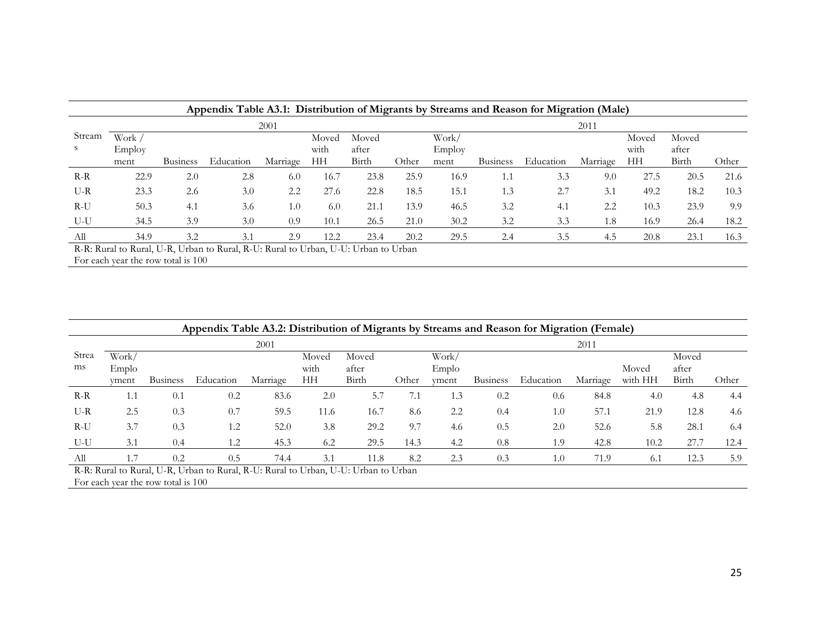|        |        |                 |                                                                                      |          |       |       |       |        |                 | Appendix Table A3.1: Distribution of Migrants by Streams and Reason for Migration (Male) |          |       |       |       |
|--------|--------|-----------------|--------------------------------------------------------------------------------------|----------|-------|-------|-------|--------|-----------------|------------------------------------------------------------------------------------------|----------|-------|-------|-------|
|        |        |                 |                                                                                      | 2001     |       |       |       |        |                 |                                                                                          | 2011     |       |       |       |
| Stream | Work / |                 |                                                                                      |          | Moved | Moved |       | Work/  |                 |                                                                                          |          | Moved | Moved |       |
| S.     | Employ |                 |                                                                                      |          | with  | after |       | Employ |                 |                                                                                          |          | with  | after |       |
|        | ment   | <b>Business</b> | Education                                                                            | Marriage | HН    | Birth | Other | ment   | <b>Business</b> | Education                                                                                | Marriage | HH    | Birth | Other |
| $R-R$  | 22.9   | 2.0             | 2.8                                                                                  | 6.0      | 16.7  | 23.8  | 25.9  | 16.9   | 1.1             | 3.3                                                                                      | 9.0      | 27.5  | 20.5  | 21.6  |
| $U-R$  | 23.3   | 2.6             | 3.0                                                                                  | 2.2      | 27.6  | 22.8  | 18.5  | 15.1   | 1.3             | 2.7                                                                                      | 3.1      | 49.2  | 18.2  | 10.3  |
| $R-U$  | 50.3   | 4.1             | 3.6                                                                                  | 1.0      | 6.0   | 21.1  | 13.9  | 46.5   | 3.2             | 4.1                                                                                      | 2.2      | 10.3  | 23.9  | 9.9   |
| $U-U$  | 34.5   | 3.9             | 3.0                                                                                  | 0.9      | 10.1  | 26.5  | 21.0  | 30.2   | 3.2             | 3.3                                                                                      | 1.8      | 16.9  | 26.4  | 18.2  |
| All    | 34.9   | 3.2             | 3.1                                                                                  | 2.9      | 12.2  | 23.4  | 20.2  | 29.5   | 2.4             | 3.5                                                                                      | 4.5      | 20.8  | 23.1  | 16.3  |
|        |        |                 | D. D. Dugal to Dugal II D. Heben to Dugal D. H. Dugal to Heben, H. H. Heben to Heben |          |       |       |       |        |                 |                                                                                          |          |       |       |       |

R-R: Rural to Rural, U-R, Urban to Rural, R-U: Rural to Urban, U-U: Urban to Urban For each year the row total is 100

|       |       |                 | Appendix Table A3.2: Distribution of Migrants by Streams and Reason for Migration (Female) |          |       |       |       |       |                 |           |          |         |       |       |
|-------|-------|-----------------|--------------------------------------------------------------------------------------------|----------|-------|-------|-------|-------|-----------------|-----------|----------|---------|-------|-------|
|       |       |                 |                                                                                            | 2001     |       |       |       |       |                 |           | 2011     |         |       |       |
| Strea | Work/ |                 |                                                                                            |          | Moved | Moved |       | Work/ |                 |           |          |         | Moved |       |
| ms    | Emplo |                 |                                                                                            |          | with  | after |       | Emplo |                 |           |          | Moved   | after |       |
|       | yment | <b>Business</b> | Education                                                                                  | Marriage | HH    | Birth | Other | yment | <b>Business</b> | Education | Marriage | with HH | Birth | Other |
| $R-R$ | 1.1   | 0.1             | 0.2                                                                                        | 83.6     | 2.0   | 5.7   | 7.1   | 1.3   | 0.2             | 0.6       | 84.8     | 4.0     | 4.8   | 4.4   |
| $U-R$ | 2.5   | 0.3             | 0.7                                                                                        | 59.5     | 11.6  | 16.7  | 8.6   | 2.2   | 0.4             | 1.0       | 57.1     | 21.9    | 12.8  | 4.6   |
| $R-U$ | 3.7   | 0.3             | 1.2                                                                                        | 52.0     | 3.8   | 29.2  | 9.7   | 4.6   | 0.5             | 2.0       | 52.6     | 5.8     | 28.1  | 6.4   |
| $U-U$ | 3.1   | 0.4             | 1.2                                                                                        | 45.3     | 6.2   | 29.5  | 14.3  | 4.2   | 0.8             | 1.9       | 42.8     | 10.2    | 27.7  | 12.4  |
| All   | 1.7   | 0.2             | 0.5                                                                                        | 74.4     | 3.1   | 11.8  | 8.2   | 2.3   | 0.3             | 1.0       | 71.9     | 6.1     | 12.3  | 5.9   |
|       |       |                 | R-R: Rural to Rural, U-R, Urban to Rural, R-U: Rural to Urban, U-U: Urban to Urban         |          |       |       |       |       |                 |           |          |         |       |       |

For each year the row total is 100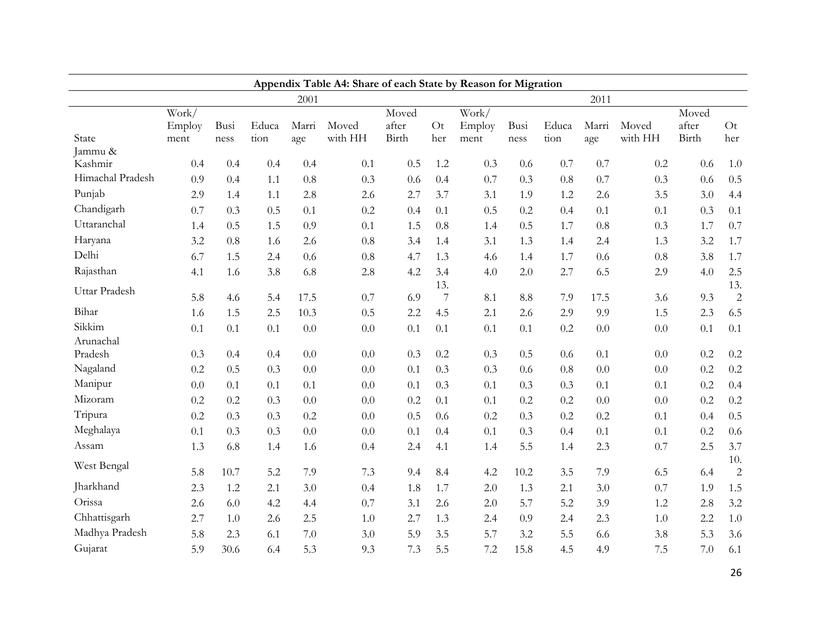|                     | Appendix Table A4: Share of each State by Reason for Migration |      |       |       |         |       |                |                          |      |       |       |         |       |                |
|---------------------|----------------------------------------------------------------|------|-------|-------|---------|-------|----------------|--------------------------|------|-------|-------|---------|-------|----------------|
|                     |                                                                |      |       | 2001  |         |       |                |                          |      |       | 2011  |         |       |                |
|                     | Work/                                                          |      |       |       |         | Moved |                | $\overline{\text{Work}}$ |      |       |       |         | Moved |                |
|                     | Employ                                                         | Busi | Educa | Marri | Moved   | after | Ot             | Employ                   | Busi | Educa | Marri | Moved   | after | O <sub>t</sub> |
| State<br>Jammu &    | ment                                                           | ness | tion  | age   | with HH | Birth | her            | ment                     | ness | tion  | age   | with HH | Birth | her            |
| Kashmir             | 0.4                                                            | 0.4  | 0.4   | 0.4   | 0.1     | 0.5   | 1.2            | 0.3                      | 0.6  | 0.7   | 0.7   | 0.2     | 0.6   | $1.0\,$        |
| Himachal Pradesh    | 0.9                                                            | 0.4  | 1.1   | 0.8   | 0.3     | 0.6   | 0.4            | 0.7                      | 0.3  | 0.8   | 0.7   | 0.3     | 0.6   | 0.5            |
| Punjab              | 2.9                                                            | 1.4  | 1.1   | 2.8   | 2.6     | 2.7   | 3.7            | 3.1                      | 1.9  | 1.2   | 2.6   | 3.5     | 3.0   | 4.4            |
| Chandigarh          | 0.7                                                            | 0.3  | 0.5   | 0.1   | 0.2     | 0.4   | 0.1            | 0.5                      | 0.2  | 0.4   | 0.1   | 0.1     | 0.3   | 0.1            |
| Uttaranchal         | 1.4                                                            | 0.5  | 1.5   | 0.9   | 0.1     | 1.5   | 0.8            | 1.4                      | 0.5  | 1.7   | 0.8   | 0.3     | 1.7   | 0.7            |
| Haryana             | 3.2                                                            | 0.8  | 1.6   | 2.6   | 0.8     | 3.4   | 1.4            | 3.1                      | 1.3  | 1.4   | 2.4   | 1.3     | 3.2   | 1.7            |
| Delhi               | 6.7                                                            | 1.5  | 2.4   | 0.6   | 0.8     | 4.7   | 1.3            | 4.6                      | 1.4  | 1.7   | 0.6   | 0.8     | 3.8   | 1.7            |
| Rajasthan           | 4.1                                                            | 1.6  | 3.8   | 6.8   | 2.8     | 4.2   | 3.4            | 4.0                      | 2.0  | 2.7   | 6.5   | 2.9     | 4.0   | 2.5            |
| Uttar Pradesh       |                                                                |      |       |       |         |       | 13.            |                          |      |       |       |         |       | 13.            |
|                     | 5.8                                                            | 4.6  | 5.4   | 17.5  | 0.7     | 6.9   | $\overline{7}$ | 8.1                      | 8.8  | 7.9   | 17.5  | 3.6     | 9.3   | $\overline{2}$ |
| Bihar               | 1.6                                                            | 1.5  | 2.5   | 10.3  | 0.5     | 2.2   | 4.5            | 2.1                      | 2.6  | 2.9   | 9.9   | 1.5     | 2.3   | 6.5            |
| Sikkim<br>Arunachal | 0.1                                                            | 0.1  | 0.1   | 0.0   | 0.0     | 0.1   | 0.1            | 0.1                      | 0.1  | 0.2   | 0.0   | $0.0\,$ | 0.1   | 0.1            |
| Pradesh             | 0.3                                                            | 0.4  | 0.4   | 0.0   | 0.0     | 0.3   | 0.2            | 0.3                      | 0.5  | 0.6   | 0.1   | 0.0     | 0.2   | $0.2\,$        |
| Nagaland            | 0.2                                                            | 0.5  | 0.3   | 0.0   | 0.0     | 0.1   | 0.3            | 0.3                      | 0.6  | 0.8   | 0.0   | 0.0     | 0.2   | $0.2\,$        |
| Manipur             | 0.0                                                            | 0.1  | 0.1   | 0.1   | 0.0     | 0.1   | 0.3            | 0.1                      | 0.3  | 0.3   | 0.1   | 0.1     | 0.2   | 0.4            |
| Mizoram             | 0.2                                                            | 0.2  | 0.3   | 0.0   | 0.0     | 0.2   | 0.1            | 0.1                      | 0.2  | 0.2   | 0.0   | 0.0     | 0.2   | 0.2            |
| Tripura             | 0.2                                                            | 0.3  | 0.3   | 0.2   | 0.0     | 0.5   | 0.6            | 0.2                      | 0.3  | 0.2   | 0.2   | 0.1     | 0.4   | 0.5            |
| Meghalaya           | 0.1                                                            | 0.3  | 0.3   | 0.0   | 0.0     | 0.1   | 0.4            | 0.1                      | 0.3  | 0.4   | 0.1   | 0.1     | 0.2   | 0.6            |
| Assam               | 1.3                                                            | 6.8  | 1.4   | 1.6   | 0.4     | 2.4   | 4.1            | 1.4                      | 5.5  | 1.4   | 2.3   | 0.7     | 2.5   | 3.7            |
| West Bengal         |                                                                |      |       |       |         |       |                |                          |      |       |       |         |       | 10.            |
|                     | 5.8                                                            | 10.7 | 5.2   | 7.9   | 7.3     | 9.4   | 8.4            | 4.2                      | 10.2 | 3.5   | 7.9   | 6.5     | 6.4   | $\sqrt{2}$     |
| Jharkhand           | 2.3                                                            | 1.2  | 2.1   | 3.0   | 0.4     | 1.8   | 1.7            | 2.0                      | 1.3  | 2.1   | 3.0   | 0.7     | 1.9   | 1.5            |
| Orissa              | 2.6                                                            | 6.0  | 4.2   | 4.4   | 0.7     | 3.1   | 2.6            | 2.0                      | 5.7  | 5.2   | 3.9   | 1.2     | 2.8   | 3.2            |
| Chhattisgarh        | 2.7                                                            | 1.0  | 2.6   | 2.5   | 1.0     | 2.7   | 1.3            | 2.4                      | 0.9  | 2.4   | 2.3   | 1.0     | 2.2   | $1.0\,$        |
| Madhya Pradesh      | 5.8                                                            | 2.3  | 6.1   | 7.0   | 3.0     | 5.9   | 3.5            | 5.7                      | 3.2  | 5.5   | 6.6   | 3.8     | 5.3   | 3.6            |
| Gujarat             | 5.9                                                            | 30.6 | 6.4   | 5.3   | 9.3     | 7.3   | 5.5            | 7.2                      | 15.8 | 4.5   | 4.9   | 7.5     | 7.0   | 6.1            |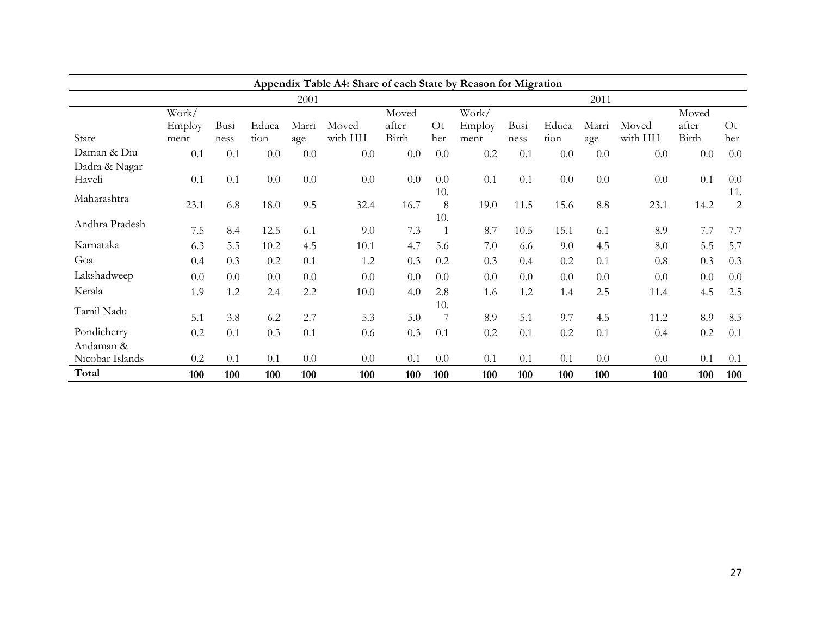|                 | Appendix Table A4: Share of each State by Reason for Migration |      |       |       |         |       |     |        |      |       |       |         |         |     |
|-----------------|----------------------------------------------------------------|------|-------|-------|---------|-------|-----|--------|------|-------|-------|---------|---------|-----|
|                 |                                                                |      |       | 2001  |         |       |     |        |      |       | 2011  |         |         |     |
|                 | Work/                                                          |      |       |       |         | Moved |     | Work/  |      |       |       |         | Moved   |     |
|                 | Employ                                                         | Busi | Educa | Marri | Moved   | after | Ot  | Employ | Busi | Educa | Marri | Moved   | after   | Ot  |
| State           | ment                                                           | ness | tion  | age   | with HH | Birth | her | ment   | ness | tion  | age   | with HH | Birth   | her |
| Daman & Diu     | 0.1                                                            | 0.1  | 0.0   | 0.0   | 0.0     | 0.0   | 0.0 | 0.2    | 0.1  | 0.0   | 0.0   | 0.0     | $0.0\,$ | 0.0 |
| Dadra & Nagar   |                                                                |      |       |       |         |       |     |        |      |       |       |         |         |     |
| Haveli          | 0.1                                                            | 0.1  | 0.0   | 0.0   | 0.0     | 0.0   | 0.0 | 0.1    | 0.1  | 0.0   | 0.0   | 0.0     | 0.1     | 0.0 |
| Maharashtra     |                                                                |      |       |       |         |       | 10. |        |      |       |       |         |         | 11. |
|                 | 23.1                                                           | 6.8  | 18.0  | 9.5   | 32.4    | 16.7  | 8   | 19.0   | 11.5 | 15.6  | 8.8   | 23.1    | 14.2    | 2   |
| Andhra Pradesh  |                                                                |      |       |       |         |       | 10. |        |      |       |       |         |         |     |
|                 | 7.5                                                            | 8.4  | 12.5  | 6.1   | 9.0     | 7.3   | 1   | 8.7    | 10.5 | 15.1  | 6.1   | 8.9     | 7.7     | 7.7 |
| Karnataka       | 6.3                                                            | 5.5  | 10.2  | 4.5   | 10.1    | 4.7   | 5.6 | 7.0    | 6.6  | 9.0   | 4.5   | 8.0     | 5.5     | 5.7 |
| Goa             | 0.4                                                            | 0.3  | 0.2   | 0.1   | 1.2     | 0.3   | 0.2 | 0.3    | 0.4  | 0.2   | 0.1   | 0.8     | 0.3     | 0.3 |
| Lakshadweep     | 0.0                                                            | 0.0  | 0.0   | 0.0   | 0.0     | 0.0   | 0.0 | 0.0    | 0.0  | 0.0   | 0.0   | 0.0     | 0.0     | 0.0 |
| Kerala          | 1.9                                                            | 1.2  | 2.4   | 2.2   | 10.0    | 4.0   | 2.8 | 1.6    | 1.2  | 1.4   | 2.5   | 11.4    | 4.5     | 2.5 |
|                 |                                                                |      |       |       |         |       | 10. |        |      |       |       |         |         |     |
| Tamil Nadu      | 5.1                                                            | 3.8  | 6.2   | 2.7   | 5.3     | 5.0   | 7   | 8.9    | 5.1  | 9.7   | 4.5   | 11.2    | 8.9     | 8.5 |
| Pondicherry     | 0.2                                                            | 0.1  | 0.3   | 0.1   | 0.6     | 0.3   | 0.1 | 0.2    | 0.1  | 0.2   | 0.1   | 0.4     | $0.2\,$ | 0.1 |
| Andaman &       |                                                                |      |       |       |         |       |     |        |      |       |       |         |         |     |
| Nicobar Islands | 0.2                                                            | 0.1  | 0.1   | 0.0   | 0.0     | 0.1   | 0.0 | 0.1    | 0.1  | 0.1   | 0.0   | 0.0     | 0.1     | 0.1 |
| Total           | 100                                                            | 100  | 100   | 100   | 100     | 100   | 100 | 100    | 100  | 100   | 100   | 100     | 100     | 100 |